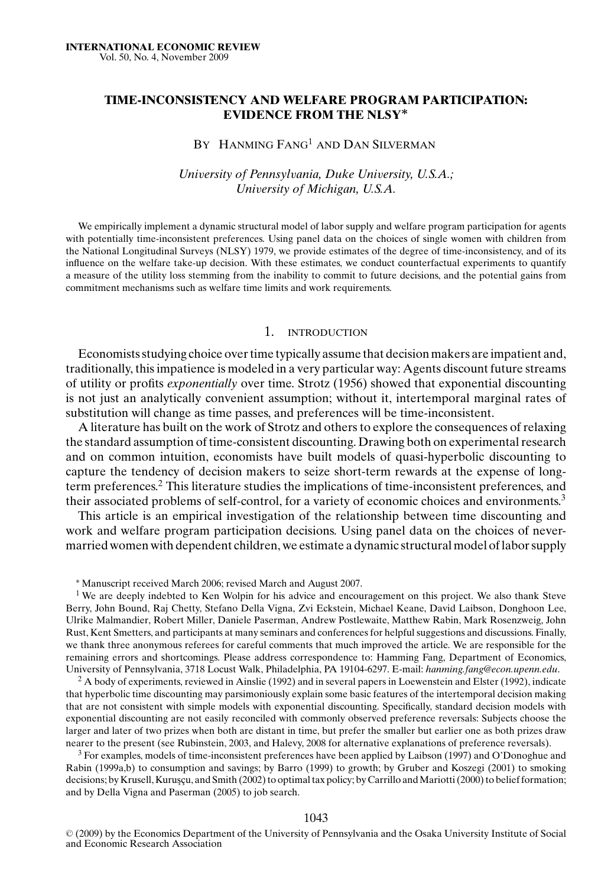# **TIME-INCONSISTENCY AND WELFARE PROGRAM PARTICIPATION: EVIDENCE FROM THE NLSY**∗

# BY HANMING FANG<sup>1</sup> AND DAN SILVERMAN

*Uni*v*ersity of Pennsyl*v*ania, Duke Uni*v*ersity, U.S.A.; Uni*v*ersity of Michigan, U.S.A.*

We empirically implement a dynamic structural model of labor supply and welfare program participation for agents with potentially time-inconsistent preferences. Using panel data on the choices of single women with children from the National Longitudinal Surveys (NLSY) 1979, we provide estimates of the degree of time-inconsistency, and of its influence on the welfare take-up decision. With these estimates, we conduct counterfactual experiments to quantify a measure of the utility loss stemming from the inability to commit to future decisions, and the potential gains from commitment mechanisms such as welfare time limits and work requirements.

## 1. INTRODUCTION

Economists studying choice over time typically assume that decision makers are impatient and, traditionally, this impatience is modeled in a very particular way: Agents discount future streams of utility or profits *exponentially* over time. Strotz (1956) showed that exponential discounting is not just an analytically convenient assumption; without it, intertemporal marginal rates of substitution will change as time passes, and preferences will be time-inconsistent.

A literature has built on the work of Strotz and others to explore the consequences of relaxing the standard assumption of time-consistent discounting. Drawing both on experimental research and on common intuition, economists have built models of quasi-hyperbolic discounting to capture the tendency of decision makers to seize short-term rewards at the expense of longterm preferences.<sup>2</sup> This literature studies the implications of time-inconsistent preferences, and their associated problems of self-control, for a variety of economic choices and environments.<sup>3</sup>

This article is an empirical investigation of the relationship between time discounting and work and welfare program participation decisions. Using panel data on the choices of nevermarried women with dependent children, we estimate a dynamic structural model of labor supply

∗ Manuscript received March 2006; revised March and August 2007.

<sup>1</sup> We are deeply indebted to Ken Wolpin for his advice and encouragement on this project. We also thank Steve Berry, John Bound, Raj Chetty, Stefano Della Vigna, Zvi Eckstein, Michael Keane, David Laibson, Donghoon Lee, Ulrike Malmandier, Robert Miller, Daniele Paserman, Andrew Postlewaite, Matthew Rabin, Mark Rosenzweig, John Rust, Kent Smetters, and participants at many seminars and conferences for helpful suggestions and discussions. Finally, we thank three anonymous referees for careful comments that much improved the article. We are responsible for the remaining errors and shortcomings. Please address correspondence to: Hamming Fang, Department of Economics, University of Pennsylvania, 3718 Locust Walk, Philadelphia, PA 19104-6297. E-mail: *hanming.fang@econ.upenn.edu*.

 $2$  A body of experiments, reviewed in Ainslie (1992) and in several papers in Loewenstein and Elster (1992), indicate that hyperbolic time discounting may parsimoniously explain some basic features of the intertemporal decision making that are not consistent with simple models with exponential discounting. Specifically, standard decision models with exponential discounting are not easily reconciled with commonly observed preference reversals: Subjects choose the larger and later of two prizes when both are distant in time, but prefer the smaller but earlier one as both prizes draw nearer to the present (see Rubinstein, 2003, and Halevy, 2008 for alternative explanations of preference reversals).

<sup>3</sup> For examples, models of time-inconsistent preferences have been applied by Laibson (1997) and O'Donoghue and Rabin (1999a,b) to consumption and savings; by Barro (1999) to growth; by Gruber and Koszegi (2001) to smoking decisions; by Krusell, Kuruşçu, and Smith (2002) to optimal tax policy; by Carrillo and Mariotti (2000) to belief formation; and by Della Vigna and Paserman (2005) to job search.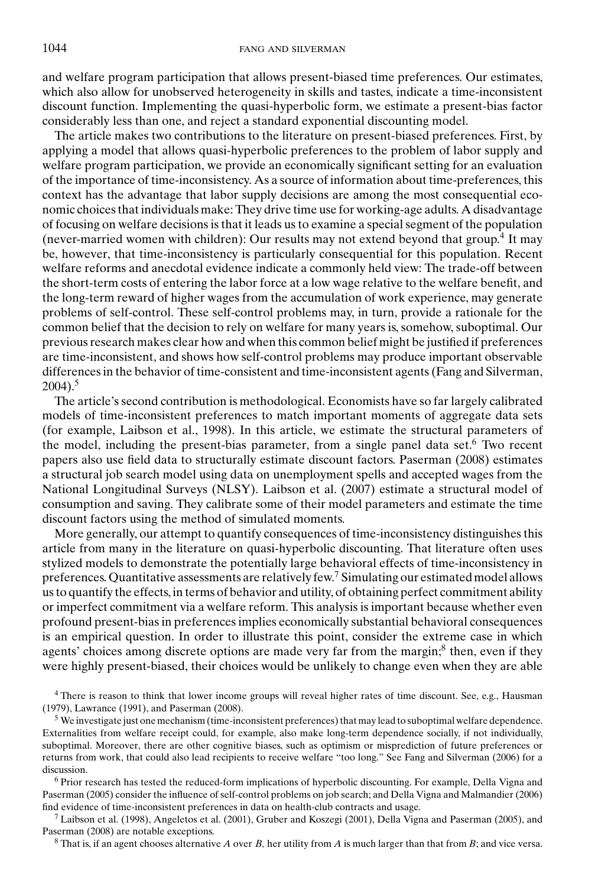and welfare program participation that allows present-biased time preferences. Our estimates, which also allow for unobserved heterogeneity in skills and tastes, indicate a time-inconsistent discount function. Implementing the quasi-hyperbolic form, we estimate a present-bias factor considerably less than one, and reject a standard exponential discounting model.

The article makes two contributions to the literature on present-biased preferences. First, by applying a model that allows quasi-hyperbolic preferences to the problem of labor supply and welfare program participation, we provide an economically significant setting for an evaluation of the importance of time-inconsistency. As a source of information about time-preferences, this context has the advantage that labor supply decisions are among the most consequential economic choices that individuals make: They drive time use for working-age adults. A disadvantage of focusing on welfare decisions is that it leads us to examine a special segment of the population (never-married women with children): Our results may not extend beyond that group.<sup>4</sup> It may be, however, that time-inconsistency is particularly consequential for this population. Recent welfare reforms and anecdotal evidence indicate a commonly held view: The trade-off between the short-term costs of entering the labor force at a low wage relative to the welfare benefit, and the long-term reward of higher wages from the accumulation of work experience, may generate problems of self-control. These self-control problems may, in turn, provide a rationale for the common belief that the decision to rely on welfare for many years is, somehow, suboptimal. Our previous research makes clear how and when this common belief might be justified if preferences are time-inconsistent, and shows how self-control problems may produce important observable differences in the behavior of time-consistent and time-inconsistent agents (Fang and Silverman,  $2004$ ).<sup>5</sup>

The article's second contribution is methodological. Economists have so far largely calibrated models of time-inconsistent preferences to match important moments of aggregate data sets (for example, Laibson et al., 1998). In this article, we estimate the structural parameters of the model, including the present-bias parameter, from a single panel data set.<sup>6</sup> Two recent papers also use field data to structurally estimate discount factors. Paserman (2008) estimates a structural job search model using data on unemployment spells and accepted wages from the National Longitudinal Surveys (NLSY). Laibson et al. (2007) estimate a structural model of consumption and saving. They calibrate some of their model parameters and estimate the time discount factors using the method of simulated moments.

More generally, our attempt to quantify consequences of time-inconsistency distinguishes this article from many in the literature on quasi-hyperbolic discounting. That literature often uses stylized models to demonstrate the potentially large behavioral effects of time-inconsistency in preferences. Quantitative assessments are relatively few.<sup>7</sup> Simulating our estimated model allows us to quantify the effects, in terms of behavior and utility, of obtaining perfect commitment ability or imperfect commitment via a welfare reform. This analysis is important because whether even profound present-bias in preferences implies economically substantial behavioral consequences is an empirical question. In order to illustrate this point, consider the extreme case in which agents' choices among discrete options are made very far from the margin;<sup>8</sup> then, even if they were highly present-biased, their choices would be unlikely to change even when they are able

<sup>4</sup> There is reason to think that lower income groups will reveal higher rates of time discount. See, e.g., Hausman (1979), Lawrance (1991), and Paserman (2008).

<sup>5</sup> We investigate just one mechanism (time-inconsistent preferences) that may lead to suboptimal welfare dependence. Externalities from welfare receipt could, for example, also make long-term dependence socially, if not individually, suboptimal. Moreover, there are other cognitive biases, such as optimism or misprediction of future preferences or returns from work, that could also lead recipients to receive welfare "too long." See Fang and Silverman (2006) for a discussion.

<sup>6</sup> Prior research has tested the reduced-form implications of hyperbolic discounting. For example, Della Vigna and Paserman (2005) consider the influence of self-control problems on job search; and Della Vigna and Malmandier (2006) find evidence of time-inconsistent preferences in data on health-club contracts and usage.

 $^7$  Laibson et al. (1998), Angeletos et al. (2001), Gruber and Koszegi (2001), Della Vigna and Paserman (2005), and Paserman (2008) are notable exceptions.

<sup>8</sup> That is, if an agent chooses alternative *A* over *B*, her utility from *A* is much larger than that from *B*; and vice versa.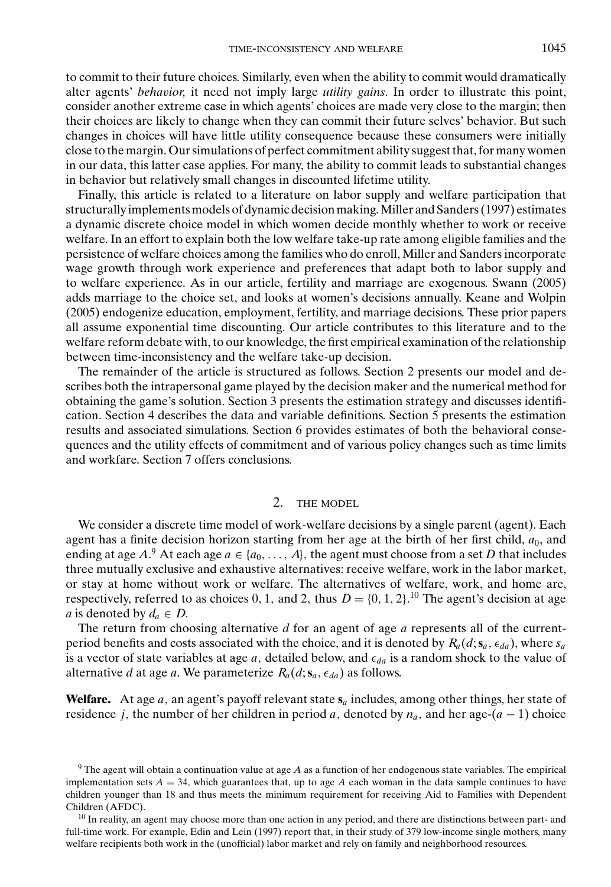to commit to their future choices. Similarly, even when the ability to commit would dramatically alter agents' *beha*v*ior,* it need not imply large *utility gains*. In order to illustrate this point, consider another extreme case in which agents' choices are made very close to the margin; then their choices are likely to change when they can commit their future selves' behavior. But such changes in choices will have little utility consequence because these consumers were initially close to the margin. Our simulations of perfect commitment ability suggest that, for many women in our data, this latter case applies. For many, the ability to commit leads to substantial changes in behavior but relatively small changes in discounted lifetime utility.

Finally, this article is related to a literature on labor supply and welfare participation that structurally implements models of dynamic decision making.Miller and Sanders (1997) estimates a dynamic discrete choice model in which women decide monthly whether to work or receive welfare. In an effort to explain both the low welfare take-up rate among eligible families and the persistence of welfare choices among the families who do enroll, Miller and Sanders incorporate wage growth through work experience and preferences that adapt both to labor supply and to welfare experience. As in our article, fertility and marriage are exogenous. Swann (2005) adds marriage to the choice set, and looks at women's decisions annually. Keane and Wolpin (2005) endogenize education, employment, fertility, and marriage decisions. These prior papers all assume exponential time discounting. Our article contributes to this literature and to the welfare reform debate with, to our knowledge, the first empirical examination of the relationship between time-inconsistency and the welfare take-up decision.

The remainder of the article is structured as follows. Section 2 presents our model and describes both the intrapersonal game played by the decision maker and the numerical method for obtaining the game's solution. Section 3 presents the estimation strategy and discusses identification. Section 4 describes the data and variable definitions. Section 5 presents the estimation results and associated simulations. Section 6 provides estimates of both the behavioral consequences and the utility effects of commitment and of various policy changes such as time limits and workfare. Section 7 offers conclusions.

### 2. THE MODEL

We consider a discrete time model of work-welfare decisions by a single parent (agent). Each agent has a finite decision horizon starting from her age at the birth of her first child, *a*0, and ending at age  $A^9$ . At each age  $a \in \{a_0, \ldots, A\}$ , the agent must choose from a set *D* that includes three mutually exclusive and exhaustive alternatives: receive welfare, work in the labor market, or stay at home without work or welfare. The alternatives of welfare, work, and home are, respectively, referred to as choices 0, 1, and 2, thus  $D = \{0, 1, 2\}$ .<sup>10</sup> The agent's decision at age *a* is denoted by  $d_a \in D$ .

The return from choosing alternative *d* for an agent of age *a* represents all of the currentperiod benefits and costs associated with the choice, and it is denoted by  $R_a(d; \mathbf{s}_a, \epsilon_{da})$ , where  $s_a$ is a vector of state variables at age  $a$ , detailed below, and  $\epsilon_{da}$  is a random shock to the value of alternative *d* at age *a*. We parameterize  $R_a(d; \mathbf{s}_a, \epsilon_{da})$  as follows.

**Welfare.** At age *a*, an agent's payoff relevant state **s***<sup>a</sup>* includes, among other things, her state of residence *j*, the number of her children in period *a*, denoted by  $n_a$ , and her age- $(a - 1)$  choice

<sup>9</sup> The agent will obtain a continuation value at age *A* as a function of her endogenous state variables. The empirical implementation sets  $A = 34$ , which guarantees that, up to age  $A$  each woman in the data sample continues to have children younger than 18 and thus meets the minimum requirement for receiving Aid to Families with Dependent Children (AFDC).

 $10$  In reality, an agent may choose more than one action in any period, and there are distinctions between part- and full-time work. For example, Edin and Lein (1997) report that, in their study of 379 low-income single mothers, many welfare recipients both work in the (unofficial) labor market and rely on family and neighborhood resources.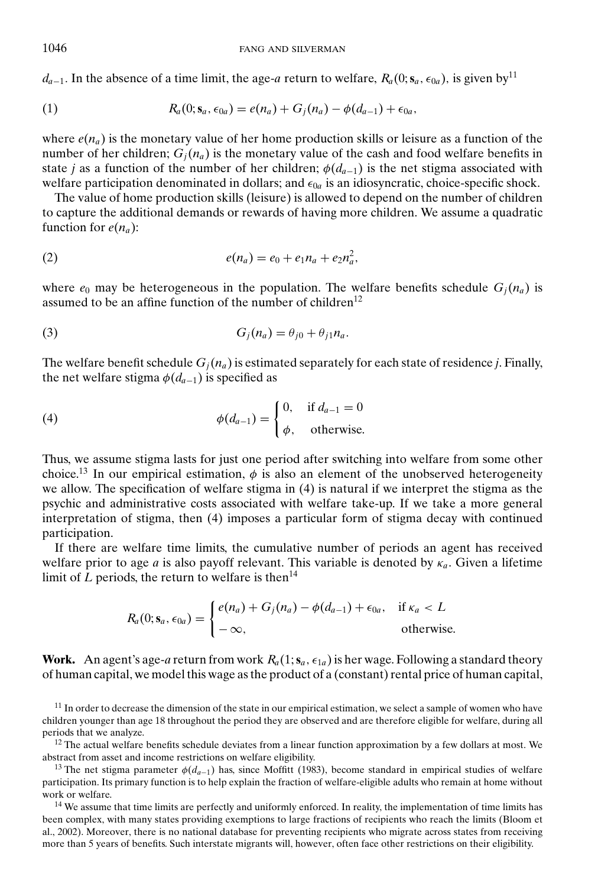*d*<sub>*a*−1</sub>. In the absence of a time limit, the age-*a* return to welfare,  $R_a(0; s_a, \epsilon_{0a})$ , is given by<sup>11</sup>

(1) 
$$
R_a(0; \mathbf{s}_a, \epsilon_{0a}) = e(n_a) + G_j(n_a) - \phi(d_{a-1}) + \epsilon_{0a},
$$

where  $e(n_a)$  is the monetary value of her home production skills or leisure as a function of the number of her children;  $G_i(n_a)$  is the monetary value of the cash and food welfare benefits in state *j* as a function of the number of her children;  $\phi(d_{a-1})$  is the net stigma associated with welfare participation denominated in dollars; and  $\epsilon_{0a}$  is an idiosyncratic, choice-specific shock.

The value of home production skills (leisure) is allowed to depend on the number of children to capture the additional demands or rewards of having more children. We assume a quadratic function for  $e(n_a)$ :

(2) 
$$
e(n_a) = e_0 + e_1 n_a + e_2 n_a^2,
$$

where  $e_0$  may be heterogeneous in the population. The welfare benefits schedule  $G_j(n_a)$  is assumed to be an affine function of the number of children<sup>12</sup>

(3) 
$$
G_j(n_a) = \theta_{j0} + \theta_{j1}n_a.
$$

The welfare benefit schedule  $G_i(n_a)$  is estimated separately for each state of residence *j*. Finally, the net welfare stigma  $\phi(d_{a-1})$  is specified as

(4) 
$$
\phi(d_{a-1}) = \begin{cases} 0, & \text{if } d_{a-1} = 0 \\ \phi, & \text{otherwise.} \end{cases}
$$

Thus, we assume stigma lasts for just one period after switching into welfare from some other choice.<sup>13</sup> In our empirical estimation,  $\phi$  is also an element of the unobserved heterogeneity we allow. The specification of welfare stigma in (4) is natural if we interpret the stigma as the psychic and administrative costs associated with welfare take-up. If we take a more general interpretation of stigma, then (4) imposes a particular form of stigma decay with continued participation.

If there are welfare time limits, the cumulative number of periods an agent has received welfare prior to age *a* is also payoff relevant. This variable is denoted by κ*a*. Given a lifetime limit of  $L$  periods, the return to welfare is then<sup>14</sup>

$$
R_a(0; \mathbf{s}_a, \epsilon_{0a}) = \begin{cases} e(n_a) + G_j(n_a) - \phi(d_{a-1}) + \epsilon_{0a}, & \text{if } \kappa_a < L \\ -\infty, & \text{otherwise.} \end{cases}
$$

**Work.** An agent's age-*a* return from work  $R_a(1; \mathbf{s}_a, \epsilon_{1a})$  is her wage. Following a standard theory of human capital, we model this wage as the product of a (constant) rental price of human capital,

 $12$  The actual welfare benefits schedule deviates from a linear function approximation by a few dollars at most. We abstract from asset and income restrictions on welfare eligibility.

<sup>13</sup> The net stigma parameter  $\phi(d_{a-1})$  has, since Moffitt (1983), become standard in empirical studies of welfare participation. Its primary function is to help explain the fraction of welfare-eligible adults who remain at home without work or welfare.

<sup>14</sup> We assume that time limits are perfectly and uniformly enforced. In reality, the implementation of time limits has been complex, with many states providing exemptions to large fractions of recipients who reach the limits (Bloom et al., 2002). Moreover, there is no national database for preventing recipients who migrate across states from receiving more than 5 years of benefits. Such interstate migrants will, however, often face other restrictions on their eligibility.

 $11$  In order to decrease the dimension of the state in our empirical estimation, we select a sample of women who have children younger than age 18 throughout the period they are observed and are therefore eligible for welfare, during all periods that we analyze.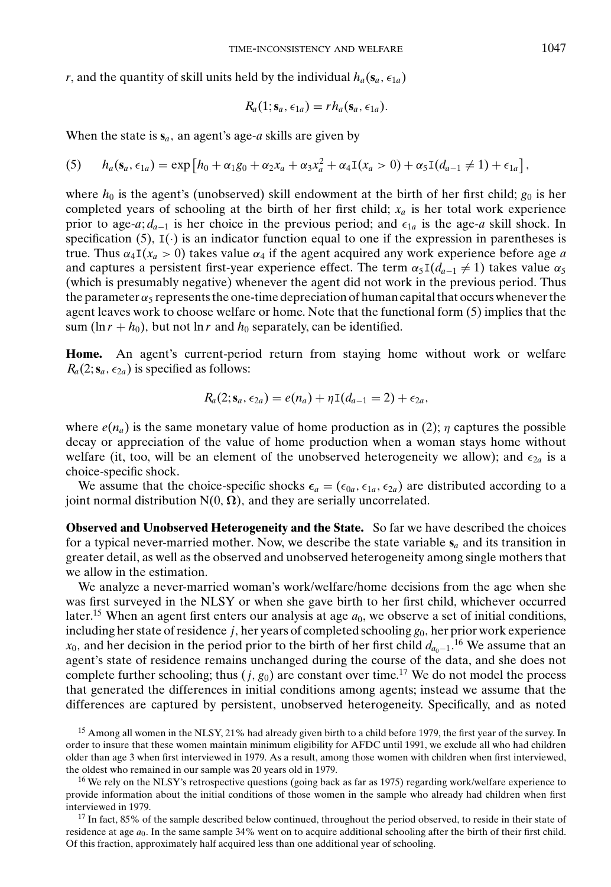*r*, and the quantity of skill units held by the individual  $h_a(s_a, \epsilon_{1a})$ 

$$
R_a(1; \mathbf{s}_a, \epsilon_{1a}) = rh_a(\mathbf{s}_a, \epsilon_{1a}).
$$

When the state is  $s_a$ , an agent's age-*a* skills are given by

(5) 
$$
h_a(s_a, \epsilon_{1a}) = \exp\left[h_0 + \alpha_1 g_0 + \alpha_2 x_a + \alpha_3 x_a^2 + \alpha_4 \mathbb{I}(x_a > 0) + \alpha_5 \mathbb{I}(d_{a-1} \neq 1) + \epsilon_{1a}\right],
$$

where  $h_0$  is the agent's (unobserved) skill endowment at the birth of her first child;  $g_0$  is her completed years of schooling at the birth of her first child; *xa* is her total work experience prior to age-*a*; *d<sub>a−1</sub>* is her choice in the previous period; and  $\epsilon_{1a}$  is the age-*a* skill shock. In specification (5),  $I(\cdot)$  is an indicator function equal to one if the expression in parentheses is true. Thus  $\alpha_4 I(x_a > 0)$  takes value  $\alpha_4$  if the agent acquired any work experience before age *a* and captures a persistent first-year experience effect. The term  $\alpha_5 I(d_{a-1} \neq 1)$  takes value  $\alpha_5$ (which is presumably negative) whenever the agent did not work in the previous period. Thus the parameter  $\alpha_5$  represents the one-time depreciation of human capital that occurs whenever the agent leaves work to choose welfare or home. Note that the functional form (5) implies that the sum (ln  $r + h_0$ ), but not ln *r* and  $h_0$  separately, can be identified.

**Home.** An agent's current-period return from staying home without work or welfare  $R_a(2; \mathbf{s}_a, \epsilon_{2a})$  is specified as follows:

$$
R_a(2; \mathbf{s}_a, \epsilon_{2a}) = e(n_a) + \eta \mathbb{I}(d_{a-1} = 2) + \epsilon_{2a},
$$

where  $e(n_a)$  is the same monetary value of home production as in (2);  $\eta$  captures the possible decay or appreciation of the value of home production when a woman stays home without welfare (it, too, will be an element of the unobserved heterogeneity we allow); and  $\epsilon_{2a}$  is a choice-specific shock.

We assume that the choice-specific shocks  $\epsilon_a = (\epsilon_{0a}, \epsilon_{1a}, \epsilon_{2a})$  are distributed according to a joint normal distribution  $N(0, \Omega)$ , and they are serially uncorrelated.

**Observed and Unobserved Heterogeneity and the State.** So far we have described the choices for a typical never-married mother. Now, we describe the state variable  $s_a$  and its transition in greater detail, as well as the observed and unobserved heterogeneity among single mothers that we allow in the estimation.

We analyze a never-married woman's work/welfare/home decisions from the age when she was first surveyed in the NLSY or when she gave birth to her first child, whichever occurred later.<sup>15</sup> When an agent first enters our analysis at age  $a_0$ , we observe a set of initial conditions, including her state of residence *j*, her years of completed schooling  $g_0$ , her prior work experience *x*<sub>0</sub>, and her decision in the period prior to the birth of her first child  $d_{a_0-1}$ .<sup>16</sup> We assume that an agent's state of residence remains unchanged during the course of the data, and she does not complete further schooling; thus  $(j, g_0)$  are constant over time.<sup>17</sup> We do not model the process that generated the differences in initial conditions among agents; instead we assume that the differences are captured by persistent, unobserved heterogeneity. Specifically, and as noted

<sup>&</sup>lt;sup>15</sup> Among all women in the NLSY, 21% had already given birth to a child before 1979, the first year of the survey. In order to insure that these women maintain minimum eligibility for AFDC until 1991, we exclude all who had children older than age 3 when first interviewed in 1979. As a result, among those women with children when first interviewed, the oldest who remained in our sample was 20 years old in 1979.

<sup>&</sup>lt;sup>16</sup> We rely on the NLSY's retrospective questions (going back as far as 1975) regarding work/welfare experience to provide information about the initial conditions of those women in the sample who already had children when first interviewed in 1979.

<sup>&</sup>lt;sup>17</sup> In fact, 85% of the sample described below continued, throughout the period observed, to reside in their state of residence at age *a*0. In the same sample 34% went on to acquire additional schooling after the birth of their first child. Of this fraction, approximately half acquired less than one additional year of schooling.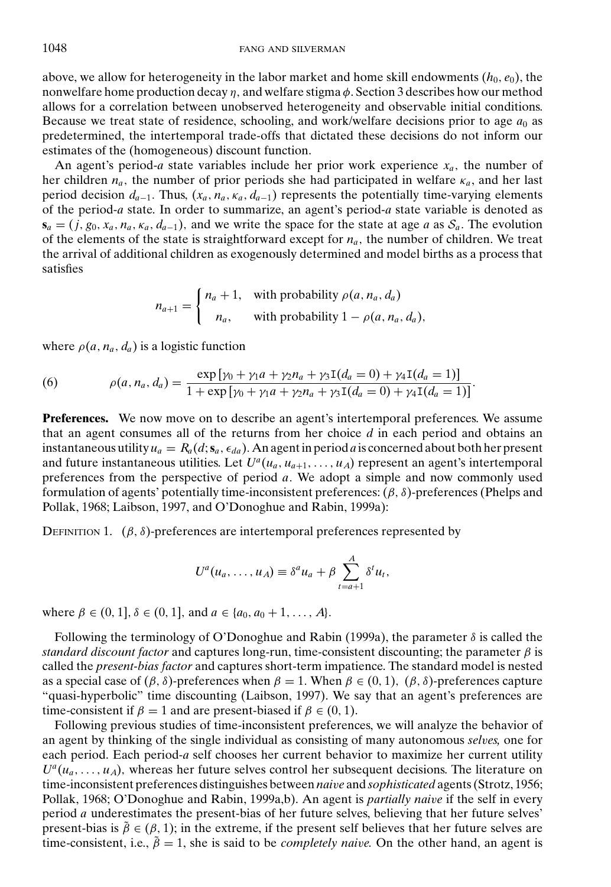above, we allow for heterogeneity in the labor market and home skill endowments  $(h_0, e_0)$ , the nonwelfare home production decay  $\eta$ , and welfare stigma  $\phi$ . Section 3 describes how our method allows for a correlation between unobserved heterogeneity and observable initial conditions. Because we treat state of residence, schooling, and work/welfare decisions prior to age  $a_0$  as predetermined, the intertemporal trade-offs that dictated these decisions do not inform our estimates of the (homogeneous) discount function.

An agent's period- $a$  state variables include her prior work experience  $x_a$ , the number of her children *na*, the number of prior periods she had participated in welfare κ*a*, and her last period decision  $d_{a-1}$ . Thus,  $(x_a, n_a, \kappa_a, d_{a-1})$  represents the potentially time-varying elements of the period-*a* state. In order to summarize, an agent's period-*a* state variable is denoted as  $\mathbf{s}_a = (j, g_0, x_a, n_a, \kappa_a, d_{a-1})$ , and we write the space for the state at age *a* as  $\mathcal{S}_a$ . The evolution of the elements of the state is straightforward except for  $n_a$ , the number of children. We treat the arrival of additional children as exogenously determined and model births as a process that satisfies

$$
n_{a+1} = \begin{cases} n_a + 1, & \text{with probability } \rho(a, n_a, d_a) \\ n_a, & \text{with probability } 1 - \rho(a, n_a, d_a), \end{cases}
$$

where  $\rho(a, n_a, d_a)$  is a logistic function

(6) 
$$
\rho(a, n_a, d_a) = \frac{\exp[\gamma_0 + \gamma_1 a + \gamma_2 n_a + \gamma_3 \mathbb{I}(d_a = 0) + \gamma_4 \mathbb{I}(d_a = 1)]}{1 + \exp[\gamma_0 + \gamma_1 a + \gamma_2 n_a + \gamma_3 \mathbb{I}(d_a = 0) + \gamma_4 \mathbb{I}(d_a = 1)]}.
$$

**Preferences.** We now move on to describe an agent's intertemporal preferences. We assume that an agent consumes all of the returns from her choice *d* in each period and obtains an instantaneous utility  $u_a = R_a(d; s_a, \epsilon_{da})$ . An agent in period *a* is concerned about both her present and future instantaneous utilities. Let  $U^a(u_a, u_{a+1},..., u_A)$  represent an agent's intertemporal preferences from the perspective of period *a*. We adopt a simple and now commonly used formulation of agents' potentially time-inconsistent preferences:  $(\beta, \delta)$ -preferences (Phelps and Pollak, 1968; Laibson, 1997, and O'Donoghue and Rabin, 1999a):

DEFINITION 1.  $(\beta, \delta)$ -preferences are intertemporal preferences represented by

$$
U^{a}(u_{a},...,u_{A}) \equiv \delta^{a} u_{a} + \beta \sum_{t=a+1}^{A} \delta^{t} u_{t},
$$

where  $\beta \in (0, 1], \delta \in (0, 1],$  and  $a \in \{a_0, a_0 + 1, \ldots, A\}.$ 

Following the terminology of O'Donoghue and Rabin (1999a), the parameter  $\delta$  is called the *standard discount factor* and captures long-run, time-consistent discounting; the parameter  $\beta$  is called the *present-bias factor* and captures short-term impatience. The standard model is nested as a special case of  $(\beta, \delta)$ -preferences when  $\beta = 1$ . When  $\beta \in (0, 1)$ ,  $(\beta, \delta)$ -preferences capture "quasi-hyperbolic" time discounting (Laibson, 1997). We say that an agent's preferences are time-consistent if  $\beta = 1$  and are present-biased if  $\beta \in (0, 1)$ .

Following previous studies of time-inconsistent preferences, we will analyze the behavior of an agent by thinking of the single individual as consisting of many autonomous *sel*v*es,* one for each period. Each period-*a* self chooses her current behavior to maximize her current utility  $U^a(u_a, \ldots, u_A)$ , whereas her future selves control her subsequent decisions. The literature on time-inconsistent preferences distinguishes between *nai*v*e* and *sophisticated* agents (Strotz, 1956; Pollak, 1968; O'Donoghue and Rabin, 1999a,b). An agent is *partially nai*v*e* if the self in every period *a* underestimates the present-bias of her future selves, believing that her future selves' present-bias is  $\tilde{\beta} \in (\beta, 1)$ ; in the extreme, if the present self believes that her future selves are time-consistent, i.e.,  $\tilde{\beta} = 1$ , she is said to be *completely naive*. On the other hand, an agent is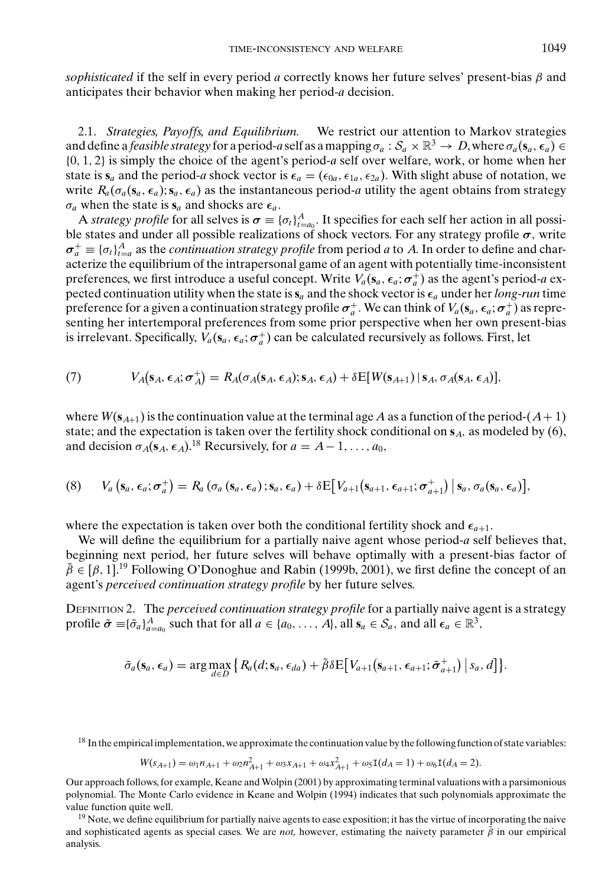*sophisticated* if the self in every period *a* correctly knows her future selves' present-bias  $\beta$  and anticipates their behavior when making her period-*a* decision.

2.1. *Strategies, Payoffs, and Equilibrium.* We restrict our attention to Markov strategies and define a *feasible strategy* for a period-*a* self as a mapping  $\sigma_a : S_a \times \mathbb{R}^3 \to D$ , where  $\sigma_a(s_a, \epsilon_a) \in$ {0, 1, 2} is simply the choice of the agent's period-*a* self over welfare, work, or home when her state is  $s_a$  and the period-*a* shock vector is  $\epsilon_a = (\epsilon_{0a}, \epsilon_{1a}, \epsilon_{2a})$ . With slight abuse of notation, we write  $R_a(\sigma_a(s_a, \epsilon_a); s_a, \epsilon_a)$  as the instantaneous period-*a* utility the agent obtains from strategy  $\sigma_a$  when the state is  $\mathbf{s}_a$  and shocks are  $\epsilon_a$ .

A *strategy profile* for all selves is  $\sigma = {\sigma_t}_{t=a_0}^A$ . It specifies for each self her action in all possible states and under all possible realizations of shock vectors. For any strategy profile  $\sigma$ , write  $\sigma_a^+ \equiv {\sigma_t}_{t=a}^A$  as the *continuation strategy profile* from period *a* to *A*. In order to define and characterize the equilibrium of the intrapersonal game of an agent with potentially time-inconsistent preferences, we first introduce a useful concept. Write  $V_a(\mathbf{s}_a,\bm{\epsilon}_a;\bm{\sigma}_a^+)$  as the agent's period- $a$  expected continuation utility when the state is  $s_a$  and the shock vector is  $\epsilon_a$  under her *long-run* time preference for a given a continuation strategy profile  $\sigma_a^+$ . We can think of  $V_a(\mathbf{s}_a,\epsilon_a;\sigma_a^+)$  as representing her intertemporal preferences from some prior perspective when her own present-bias is irrelevant. Specifically,  $V_a(\mathbf{s}_a,\bm{\epsilon}_a;\bm{\sigma}^+_a)$  can be calculated recursively as follows. First, let

(7) 
$$
V_A(\mathbf{s}_A, \boldsymbol{\epsilon}_A; \boldsymbol{\sigma}_A^+) = R_A(\sigma_A(\mathbf{s}_A, \boldsymbol{\epsilon}_A); \mathbf{s}_A, \boldsymbol{\epsilon}_A) + \delta E[W(\mathbf{s}_{A+1}) \,|\, \mathbf{s}_A, \sigma_A(\mathbf{s}_A, \boldsymbol{\epsilon}_A)],
$$

where  $W(s_{A+1})$  is the continuation value at the terminal age *A* as a function of the period-( $A+1$ ) state; and the expectation is taken over the fertility shock conditional on **s***A*, as modeled by (6), and decision  $\sigma_A(s_A, \epsilon_A)$ .<sup>18</sup> Recursively, for  $a = A - 1, \ldots, a_0$ ,

$$
(8) \qquad V_a\left(\mathbf{s}_a,\boldsymbol{\epsilon}_a;\boldsymbol{\sigma}_a^+\right)=R_a\left(\sigma_a\left(\mathbf{s}_a,\boldsymbol{\epsilon}_a\right);\mathbf{s}_a,\boldsymbol{\epsilon}_a\right)+\delta\mathrm{E}\big[V_{a+1}\big(\mathbf{s}_{a+1},\boldsymbol{\epsilon}_{a+1};\boldsymbol{\sigma}_{a+1}^+\big)\,\big|\,\mathbf{s}_a,\sigma_a\big(\mathbf{s}_a,\boldsymbol{\epsilon}_a\big)\big],
$$

where the expectation is taken over both the conditional fertility shock and  $\epsilon_{a+1}$ .

We will define the equilibrium for a partially naive agent whose period-*a* self believes that, beginning next period, her future selves will behave optimally with a present-bias factor of  $\tilde{\beta} \in [\beta, 1]$ <sup>19</sup> Following O'Donoghue and Rabin (1999b, 2001), we first define the concept of an agent's *percei*v*ed continuation strategy profile* by her future selves.

DEFINITION 2. The *percei*v*ed continuation strategy profile* for a partially naive agent is a strategy profile  $\tilde{\sigma} \equiv {\{\tilde{\sigma}_a\}}_{a=a_0}^A$  such that for all  $a \in {a_0, \ldots, A}$ , all  $s_a \in S_a$ , and all  $\epsilon_a \in \mathbb{R}^3$ ,

$$
\tilde{\sigma}_a(\mathbf{s}_a,\boldsymbol{\epsilon}_a)=\arg\max_{d\in D}\big\{R_a(d;\mathbf{s}_a,\boldsymbol{\epsilon}_{da})+\tilde{\beta}\delta\mathbb{E}\big[V_{a+1}(\mathbf{s}_{a+1},\boldsymbol{\epsilon}_{a+1};\tilde{\boldsymbol{\sigma}}^+_{a+1})\big|s_a,d\big]\big\}.
$$

 $18$  In the empirical implementation, we approximate the continuation value by the following function of state variables:

$$
W(s_{A+1}) = \omega_1 n_{A+1} + \omega_2 n_{A+1}^2 + \omega_3 x_{A+1} + \omega_4 x_{A+1}^2 + \omega_5 \mathbf{I}(d_A = 1) + \omega_6 \mathbf{I}(d_A = 2).
$$

Our approach follows, for example, Keane and Wolpin (2001) by approximating terminal valuations with a parsimonious polynomial. The Monte Carlo evidence in Keane and Wolpin (1994) indicates that such polynomials approximate the value function quite well.

 $19$  Note, we define equilibrium for partially naive agents to ease exposition; it has the virtue of incorporating the naive and sophisticated agents as special cases. We are *not*, however, estimating the naivety parameter  $\beta$  in our empirical analysis.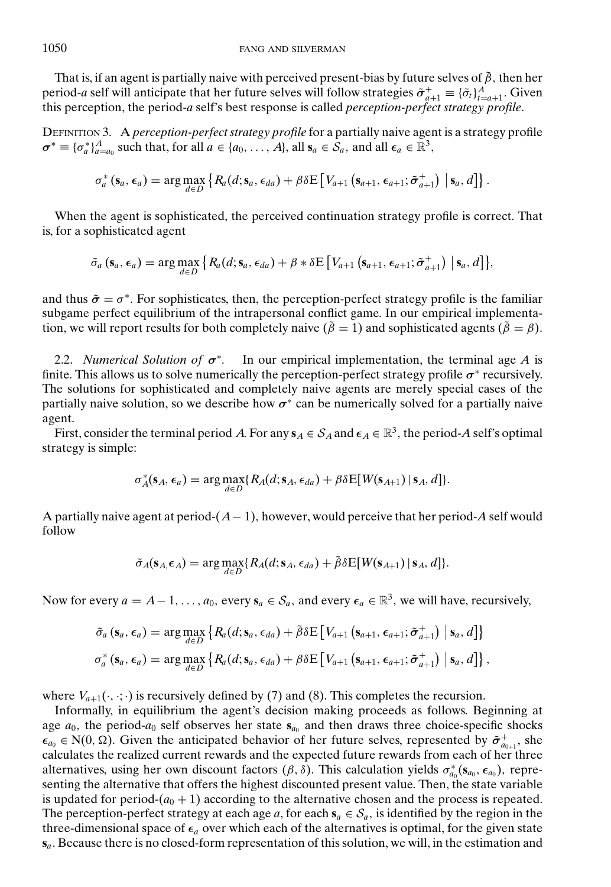That is, if an agent is partially naive with perceived present-bias by future selves of  $\tilde{\beta}$ , then her period-*a* self will anticipate that her future selves will follow strategies  $\tilde{\sigma}_{a+1}^+ \equiv {\{\tilde{\sigma}_t\}}_{t=a+1}^A$ . Given this perception, the period-*a* self's best response is called *perception-perfect strategy profile*.

DEFINITION 3. A *perception-perfect strategy profile* for a partially naive agent is a strategy profile  $\sigma^* \equiv {\sigma_a^*}_{a=a_0}^A$  such that, for all  $a \in {a_0, \ldots, A}$ , all  $s_a \in S_a$ , and all  $\epsilon_a \in \mathbb{R}^3$ ,

$$
\sigma_a^*(\mathbf{s}_a,\boldsymbol{\epsilon}_a)=\arg\max_{d\in D}\left\{R_a(d;\mathbf{s}_a,\boldsymbol{\epsilon}_{da})+\beta\delta\mathbf{E}\left[V_{a+1}\left(\mathbf{s}_{a+1},\boldsymbol{\epsilon}_{a+1};\tilde{\boldsymbol{\sigma}}_{a+1}^+\right)\big|\mathbf{s}_a,d\right]\right\}.
$$

When the agent is sophisticated, the perceived continuation strategy profile is correct. That is, for a sophisticated agent

$$
\tilde{\sigma}_a(\mathbf{s}_a,\boldsymbol{\epsilon}_a)=\arg\max_{d\in D}\big\{R_a(d;\mathbf{s}_a,\boldsymbol{\epsilon}_{da})+\beta*\delta\mathrm{E}\big[V_{a+1}(\mathbf{s}_{a+1},\boldsymbol{\epsilon}_{a+1};\tilde{\boldsymbol{\sigma}}^+_{a+1})\big|\,\mathbf{s}_a,d\big]\big\},
$$

and thus  $\tilde{\sigma} = \sigma^*$ . For sophisticates, then, the perception-perfect strategy profile is the familiar subgame perfect equilibrium of the intrapersonal conflict game. In our empirical implementation, we will report results for both completely naive ( $\tilde{\beta} = 1$ ) and sophisticated agents ( $\tilde{\beta} = \beta$ ).

2.2. *Numerical Solution of*  $\sigma^*$ . In our empirical implementation, the terminal age A is finite. This allows us to solve numerically the perception-perfect strategy profile  $\sigma^*$  recursively. The solutions for sophisticated and completely naive agents are merely special cases of the partially naive solution, so we describe how  $\sigma^*$  can be numerically solved for a partially naive agent.

First, consider the terminal period *A*. For any  $\mathbf{s}_A \in \mathcal{S}_A$  and  $\boldsymbol{\epsilon}_A \in \mathbb{R}^3$ , the period-*A* self's optimal strategy is simple:

$$
\sigma_A^*(\mathbf{s}_A, \epsilon_a) = \arg \max_{d \in D} \{ R_A(d; \mathbf{s}_A, \epsilon_{da}) + \beta \delta E[W(\mathbf{s}_{A+1}) | \mathbf{s}_A, d] \}.
$$

A partially naive agent at period-(*A*− 1), however, would perceive that her period-*A* self would follow

$$
\tilde{\sigma}_A(\mathbf{s}_A,\boldsymbol{\epsilon}_A) = \arg\max_{d \in D} \{ R_A(d;\mathbf{s}_A,\boldsymbol{\epsilon}_{da}) + \tilde{\beta} \delta E[W(\mathbf{s}_{A+1}) \,|\, \mathbf{s}_A, d] \}.
$$

Now for every  $a = A - 1, \ldots, a_0$ , every  $s_a \in S_a$ , and every  $\epsilon_a \in \mathbb{R}^3$ , we will have, recursively,

$$
\tilde{\sigma}_a(\mathbf{s}_a, \boldsymbol{\epsilon}_a) = \arg \max_{d \in D} \left\{ R_a(d; \mathbf{s}_a, \boldsymbol{\epsilon}_{da}) + \tilde{\beta} \delta E \left[ V_{a+1}(\mathbf{s}_{a+1}, \boldsymbol{\epsilon}_{a+1}; \tilde{\boldsymbol{\sigma}}_{a+1}^+) \mid \mathbf{s}_a, d \right] \right\}
$$

$$
\sigma_a^*(\mathbf{s}_a, \boldsymbol{\epsilon}_a) = \arg \max_{d \in D} \left\{ R_a(d; \mathbf{s}_a, \boldsymbol{\epsilon}_{da}) + \beta \delta E \left[ V_{a+1}(\mathbf{s}_{a+1}, \boldsymbol{\epsilon}_{a+1}; \tilde{\boldsymbol{\sigma}}_{a+1}^+) \mid \mathbf{s}_a, d \right] \right\},
$$

where  $V_{a+1}(\cdot, \cdot; \cdot)$  is recursively defined by (7) and (8). This completes the recursion.

Informally, in equilibrium the agent's decision making proceeds as follows. Beginning at age  $a_0$ , the period- $a_0$  self observes her state  $s_{a_0}$  and then draws three choice-specific shocks  $\epsilon_{a_0} \in N(0, \Omega)$ . Given the anticipated behavior of her future selves, represented by  $\tilde{\sigma}_{a_{0+1}}^+$ , she calculates the realized current rewards and the expected future rewards from each of her three alternatives, using her own discount factors  $(\beta, \delta)$ . This calculation yields  $\sigma_{a_0}^*(s_{a_0}, \epsilon_{a_0})$ , representing the alternative that offers the highest discounted present value. Then, the state variable is updated for period- $(a_0 + 1)$  according to the alternative chosen and the process is repeated. The perception-perfect strategy at each age *a*, for each  $\mathbf{s}_a \in \mathcal{S}_a$ , is identified by the region in the three-dimensional space of  $\epsilon_a$  over which each of the alternatives is optimal, for the given state **s***a*. Because there is no closed-form representation of this solution, we will, in the estimation and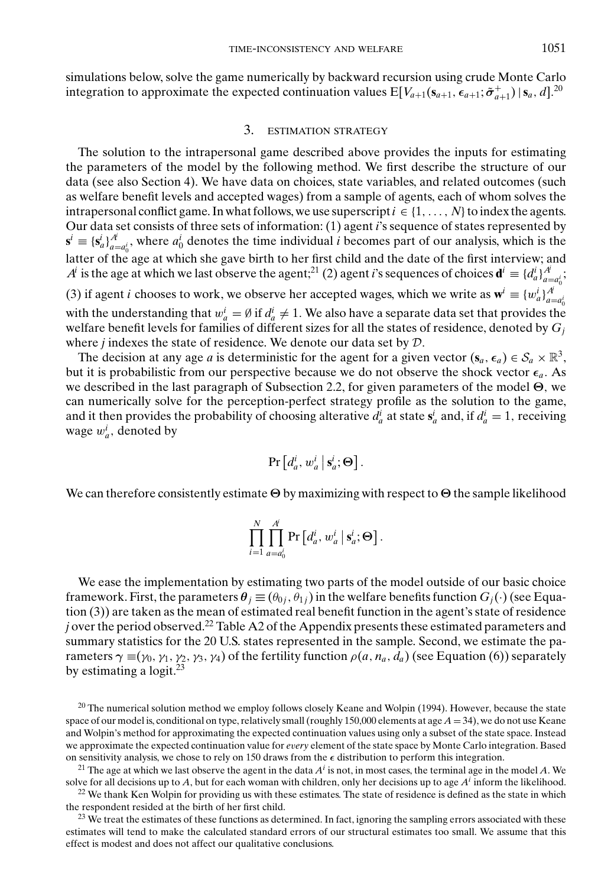simulations below, solve the game numerically by backward recursion using crude Monte Carlo integration to approximate the expected continuation values  $E[V_{a+1}(\mathbf{s}_{a+1}, \epsilon_{a+1}; \tilde{\sigma}_{a+1}^+)| \mathbf{s}_a, d]$ .<sup>20</sup>

## 3. ESTIMATION STRATEGY

The solution to the intrapersonal game described above provides the inputs for estimating the parameters of the model by the following method. We first describe the structure of our data (see also Section 4). We have data on choices, state variables, and related outcomes (such as welfare benefit levels and accepted wages) from a sample of agents, each of whom solves the intrapersonal conflict game. In what follows, we use superscript  $i \in \{1, \ldots, N\}$  to index the agents. Our data set consists of three sets of information: (1) agent *i*'s sequence of states represented by  $\mathbf{s}^i \equiv {\{\mathbf{s}^i_a\}}_{a=a_0^i}^A$ , where  $a_0^i$  denotes the time individual *i* becomes part of our analysis, which is the latter of the age at which she gave birth to her first child and the date of the first interview; and *A*<sup>*i*</sup> is the age at which we last observe the agent;<sup>21</sup> (2) agent *i*'s sequences of choices  $\mathbf{d}^i \equiv \{d^i_a\}_{a=a^i_0}^{A^i}$ ; (3) if agent *i* chooses to work, we observe her accepted wages, which we write as  $\mathbf{w}^i \equiv \{w^i_a\}_{a=a_0^i}^A$ with the understanding that  $w_a^i = \emptyset$  if  $d_a^i \neq 1$ . We also have a separate data set that provides the welfare benefit levels for families of different sizes for all the states of residence, denoted by *Gj* where *j* indexes the state of residence. We denote our data set by  $D$ .

The decision at any age *a* is deterministic for the agent for a given vector  $(\mathbf{s}_a, \mathbf{\epsilon}_a) \in \mathcal{S}_a \times \mathbb{R}^3$ , but it is probabilistic from our perspective because we do not observe the shock vector  $\epsilon_a$ . As we described in the last paragraph of Subsection 2.2, for given parameters of the model Θ, we can numerically solve for the perception-perfect strategy profile as the solution to the game, and it then provides the probability of choosing alterative  $d_a^i$  at state  $s_a^i$  and, if  $d_a^i = 1$ , receiving wage  $w_a^i$ , denoted by

$$
\Pr\left[d_a^i, w_a^i \,|\, \mathbf{s}_a^i; \boldsymbol{\Theta}\right].
$$

We can therefore consistently estimate Θ by maximizing with respect to Θ the sample likelihood

$$
\prod_{i=1}^N\prod_{a=a_0^i}^{A^i}\Pr\left[d_a^i,\,w_a^i\,\big|\,\mathbf{s}_a^i;\boldsymbol{\Theta}\right].
$$

We ease the implementation by estimating two parts of the model outside of our basic choice framework. First, the parameters  $\theta_j \equiv (\theta_{0j}, \theta_{1j})$  in the welfare benefits function  $G_j(\cdot)$  (see Equation (3)) are taken as the mean of estimated real benefit function in the agent's state of residence *j* over the period observed.<sup>22</sup> Table A2 of the Appendix presents these estimated parameters and summary statistics for the 20 U.S. states represented in the sample. Second, we estimate the parameters  $\gamma \equiv (\gamma_0, \gamma_1, \gamma_2, \gamma_3, \gamma_4)$  of the fertility function  $\rho(a, n_a, d_a)$  (see Equation (6)) separately by estimating a logit. $^{23}$ 

<sup>&</sup>lt;sup>20</sup> The numerical solution method we employ follows closely Keane and Wolpin (1994). However, because the state space of our model is, conditional on type, relatively small (roughly 150,000 elements at age  $A = 34$ ), we do not use Keane and Wolpin's method for approximating the expected continuation values using only a subset of the state space. Instead we approximate the expected continuation value for *e*v*ery* element of the state space by Monte Carlo integration. Based on sensitivity analysis, we chose to rely on 150 draws from the  $\epsilon$  distribution to perform this integration.

<sup>&</sup>lt;sup>21</sup> The age at which we last observe the agent in the data  $A^i$  is not, in most cases, the terminal age in the model  $A$ . We solve for all decisions up to A, but for each woman with children, only her decisions up to age  $A^i$  inform the likelihood.

 $22$  We thank Ken Wolpin for providing us with these estimates. The state of residence is defined as the state in which the respondent resided at the birth of her first child.

 $23$  We treat the estimates of these functions as determined. In fact, ignoring the sampling errors associated with these estimates will tend to make the calculated standard errors of our structural estimates too small. We assume that this effect is modest and does not affect our qualitative conclusions.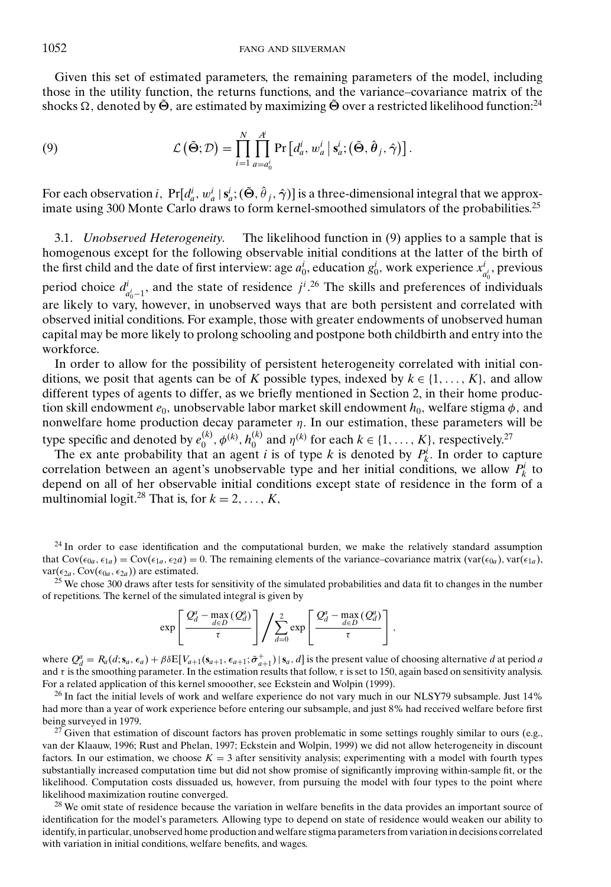Given this set of estimated parameters, the remaining parameters of the model, including those in the utility function, the returns functions, and the variance–covariance matrix of the shocks  $\Omega$ , denoted by Θ , are estimated by maximizing Θ over a restricted likelihood function:<sup>24</sup>

(9) 
$$
\mathcal{L}(\tilde{\Theta}; \mathcal{D}) = \prod_{i=1}^N \prod_{a=a_0^i}^{A^i} \Pr\left[d_a^i, w_a^i \, | \, \mathbf{s}_a^i; (\tilde{\Theta}, \hat{\boldsymbol{\theta}}_j, \hat{\boldsymbol{\gamma}})\right].
$$

For each observation *i*,  $Pr[d_a^i, w_a^i | s_a^i; (\tilde{\Theta}, \hat{\theta}_j, \hat{\gamma})]$  is a three-dimensional integral that we approximate using 300 Monte Carlo draws to form kernel-smoothed simulators of the probabilities.<sup>25</sup>

3.1. *Unobser*v*ed Heterogeneity.* The likelihood function in (9) applies to a sample that is homogenous except for the following observable initial conditions at the latter of the birth of the first child and the date of first interview: age  $a_0^i$ , education  $g_0^i$ , work experience  $x_{a_0^i}^i$ , previous period choice  $d^i_{a_0^i-1}$ , and the state of residence  $j^i$ .<sup>26</sup> The skills and preferences of individuals are likely to vary, however, in unobserved ways that are both persistent and correlated with observed initial conditions. For example, those with greater endowments of unobserved human capital may be more likely to prolong schooling and postpone both childbirth and entry into the workforce.

In order to allow for the possibility of persistent heterogeneity correlated with initial conditions, we posit that agents can be of *K* possible types, indexed by  $k \in \{1, \ldots, K\}$ , and allow different types of agents to differ, as we briefly mentioned in Section 2, in their home production skill endowment  $e_0$ , unobservable labor market skill endowment  $h_0$ , welfare stigma  $\phi$ , and nonwelfare home production decay parameter  $\eta$ . In our estimation, these parameters will be type specific and denoted by  $e_0^{(k)}$ ,  $\phi^{(k)}$ ,  $h_0^{(k)}$  and  $\eta^{(k)}$  for each  $k \in \{1, ..., K\}$ , respectively.<sup>27</sup>

The ex ante probability that an agent *i* is of type *k* is denoted by  $P_k^i$ . In order to capture correlation between an agent's unobservable type and her initial conditions, we allow  $P_k^i$  to depend on all of her observable initial conditions except state of residence in the form of a multinomial logit.<sup>28</sup> That is, for  $k = 2, \ldots, K$ ,

 $^{24}$  In order to ease identification and the computational burden, we make the relatively standard assumption that  $Cov(\epsilon_{0a}, \epsilon_{1a}) = Cov(\epsilon_{1a}, \epsilon_{2a}) = 0$ . The remaining elements of the variance–covariance matrix  $(var(\epsilon_{0a}), var(\epsilon_{1a}),$  $var(\epsilon_{2a}, Cov(\epsilon_{0a}, \epsilon_{2a}))$  are estimated.

 $25$  We chose 300 draws after tests for sensitivity of the simulated probabilities and data fit to changes in the number of repetitions. The kernel of the simulated integral is given by

$$
\exp\left[\frac{Q_d^a - \max_{d \in D} (Q_d^a)}{\tau}\right] / \sum_{d=0}^2 \exp\left[\frac{Q_d^a - \max_{d \in D} (Q_d^a)}{\tau}\right],
$$

where  $Q_d^a = R_a(d; \mathbf{s}_a, \epsilon_a) + \beta \delta E[V_{a+1}(\mathbf{s}_{a+1}, \epsilon_{a+1}; \tilde{\sigma}_{a+1}^+)] \mathbf{s}_a, d]$  is the present value of choosing alternative d at period a and  $\tau$  is the smoothing parameter. In the estimation results that follow,  $\tau$  is set to 150, again based on sensitivity analysis. For a related application of this kernel smooother, see Eckstein and Wolpin (1999).

 $^{26}$  In fact the initial levels of work and welfare experience do not vary much in our NLSY79 subsample. Just 14% had more than a year of work experience before entering our subsample, and just 8% had received welfare before first being surveyed in 1979.

<sup>27</sup> Given that estimation of discount factors has proven problematic in some settings roughly similar to ours (e.g., van der Klaauw, 1996; Rust and Phelan, 1997; Eckstein and Wolpin, 1999) we did not allow heterogeneity in discount factors. In our estimation, we choose  $K = 3$  after sensitivity analysis; experimenting with a model with fourth types substantially increased computation time but did not show promise of significantly improving within-sample fit, or the likelihood. Computation costs dissuaded us, however, from pursuing the model with four types to the point where likelihood maximization routine converged.

<sup>28</sup> We omit state of residence because the variation in welfare benefits in the data provides an important source of identification for the model's parameters. Allowing type to depend on state of residence would weaken our ability to identify, in particular, unobserved home production and welfare stigma parameters from variation in decisions correlated with variation in initial conditions, welfare benefits, and wages.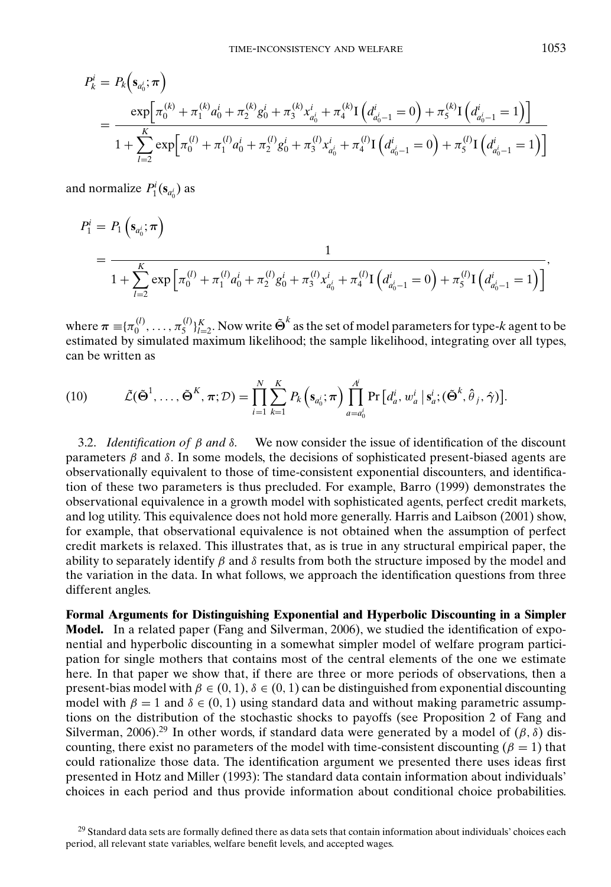$$
P_{k}^{i} = P_{k}\left(s_{a_{0}^{i}}; \pi\right)
$$
\n
$$
= \frac{\exp\left[\pi_{0}^{(k)} + \pi_{1}^{(k)} a_{0}^{i} + \pi_{2}^{(k)} g_{0}^{i} + \pi_{3}^{(k)} x_{a_{0}^{i}}^{i} + \pi_{4}^{(k)} I\left(d_{a_{0}^{i}-1}^{i} = 0\right) + \pi_{5}^{(k)} I\left(d_{a_{0}^{i}-1}^{i} = 1\right)\right]}{1 + \sum_{l=2}^{K} \exp\left[\pi_{0}^{(l)} + \pi_{1}^{(l)} a_{0}^{i} + \pi_{2}^{(l)} g_{0}^{i} + \pi_{3}^{(l)} x_{a_{0}^{i}}^{i} + \pi_{4}^{(l)} I\left(d_{a_{0}^{i}-1}^{i} = 0\right) + \pi_{5}^{(l)} I\left(d_{a_{0}^{i}-1}^{i} = 1\right)\right]}
$$

and normalize  $P_1^i(\mathbf{s}_{a_0^i})$  as

$$
P_1^i = P_1 ig(s_{a_0^i}; \pi) \\
= \frac{1}{1 + \sum_{l=2}^K \exp\left[\pi_0^{(l)} + \pi_1^{(l)} a_0^i + \pi_2^{(l)} g_0^i + \pi_3^{(l)} x_{a_0^i}^i + \pi_4^{(l)} \mathbf{I}\left(d_{a_0^i-1}^i = 0\right) + \pi_5^{(l)} \mathbf{I}\left(d_{a_0^i-1}^i = 1\right)\right]},
$$

where  $\boldsymbol{\pi} \equiv [\pi_0^{(l)}, \dots, \pi_5^{(l)}]_{l=2}^K$ . Now write  $\tilde{\Theta}^k$  as the set of model parameters for type-*k* agent to be estimated by simulated maximum likelihood; the sample likelihood, integrating over all types, can be written as

(10) 
$$
\tilde{\mathcal{L}}(\tilde{\Theta}^1,\ldots,\tilde{\Theta}^K,\pi;\mathcal{D})=\prod_{i=1}^N\sum_{k=1}^K P_k\left(\mathbf{s}_{a_0^i};\pi\right)\prod_{a=a_0^i}^{\tilde{A}^i}\Pr\left[d_a^i,w_a^i\,\big|\,\mathbf{s}_a^i;(\tilde{\Theta}^k,\hat{\theta}_j,\hat{\gamma})\right].
$$

3.2. *Identification of* β *and* δ*.* We now consider the issue of identification of the discount parameters  $\beta$  and  $\delta$ . In some models, the decisions of sophisticated present-biased agents are observationally equivalent to those of time-consistent exponential discounters, and identification of these two parameters is thus precluded. For example, Barro (1999) demonstrates the observational equivalence in a growth model with sophisticated agents, perfect credit markets, and log utility. This equivalence does not hold more generally. Harris and Laibson (2001) show, for example, that observational equivalence is not obtained when the assumption of perfect credit markets is relaxed. This illustrates that, as is true in any structural empirical paper, the ability to separately identify  $\beta$  and  $\delta$  results from both the structure imposed by the model and the variation in the data. In what follows, we approach the identification questions from three different angles.

**Formal Arguments for Distinguishing Exponential and Hyperbolic Discounting in a Simpler Model.** In a related paper (Fang and Silverman, 2006), we studied the identification of exponential and hyperbolic discounting in a somewhat simpler model of welfare program participation for single mothers that contains most of the central elements of the one we estimate here. In that paper we show that, if there are three or more periods of observations, then a present-bias model with  $\beta \in (0, 1)$ ,  $\delta \in (0, 1)$  can be distinguished from exponential discounting model with  $\beta = 1$  and  $\delta \in (0, 1)$  using standard data and without making parametric assumptions on the distribution of the stochastic shocks to payoffs (see Proposition 2 of Fang and Silverman, 2006).<sup>29</sup> In other words, if standard data were generated by a model of ( $\beta$ ,  $\delta$ ) discounting, there exist no parameters of the model with time-consistent discounting ( $\beta = 1$ ) that could rationalize those data. The identification argument we presented there uses ideas first presented in Hotz and Miller (1993): The standard data contain information about individuals' choices in each period and thus provide information about conditional choice probabilities.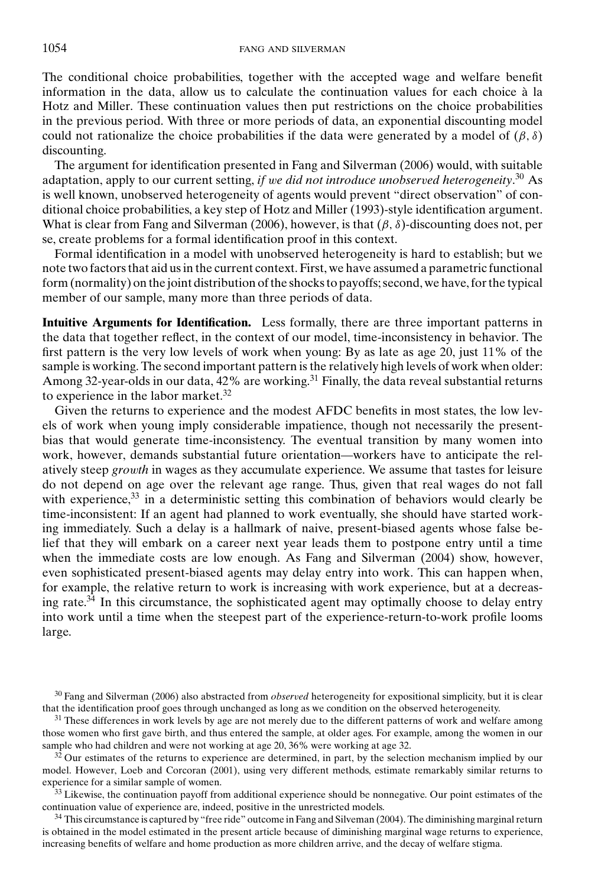The conditional choice probabilities, together with the accepted wage and welfare benefit information in the data, allow us to calculate the continuation values for each choice à la Hotz and Miller. These continuation values then put restrictions on the choice probabilities in the previous period. With three or more periods of data, an exponential discounting model could not rationalize the choice probabilities if the data were generated by a model of  $(\beta, \delta)$ discounting.

The argument for identification presented in Fang and Silverman (2006) would, with suitable adaptation, apply to our current setting, *if* w*e did not introduce unobser*v*ed heterogeneity*. <sup>30</sup> As is well known, unobserved heterogeneity of agents would prevent "direct observation" of conditional choice probabilities, a key step of Hotz and Miller (1993)-style identification argument. What is clear from Fang and Silverman (2006), however, is that  $(\beta, \delta)$ -discounting does not, per se, create problems for a formal identification proof in this context.

Formal identification in a model with unobserved heterogeneity is hard to establish; but we note two factors that aid us in the current context. First, we have assumed a parametric functional form (normality) on the joint distribution of the shocks to payoffs; second, we have, for the typical member of our sample, many more than three periods of data.

**Intuitive Arguments for Identification.** Less formally, there are three important patterns in the data that together reflect, in the context of our model, time-inconsistency in behavior. The first pattern is the very low levels of work when young: By as late as age 20, just 11% of the sample is working. The second important pattern is the relatively high levels of work when older: Among 32-year-olds in our data, 42% are working.<sup>31</sup> Finally, the data reveal substantial returns to experience in the labor market.<sup>32</sup>

Given the returns to experience and the modest AFDC benefits in most states, the low levels of work when young imply considerable impatience, though not necessarily the presentbias that would generate time-inconsistency. The eventual transition by many women into work, however, demands substantial future orientation—workers have to anticipate the relatively steep *gro*w*th* in wages as they accumulate experience. We assume that tastes for leisure do not depend on age over the relevant age range. Thus, given that real wages do not fall with experience,<sup>33</sup> in a deterministic setting this combination of behaviors would clearly be time-inconsistent: If an agent had planned to work eventually, she should have started working immediately. Such a delay is a hallmark of naive, present-biased agents whose false belief that they will embark on a career next year leads them to postpone entry until a time when the immediate costs are low enough. As Fang and Silverman (2004) show, however, even sophisticated present-biased agents may delay entry into work. This can happen when, for example, the relative return to work is increasing with work experience, but at a decreasing rate.<sup>34</sup> In this circumstance, the sophisticated agent may optimally choose to delay entry into work until a time when the steepest part of the experience-return-to-work profile looms large.

<sup>30</sup> Fang and Silverman (2006) also abstracted from *obser*v*ed* heterogeneity for expositional simplicity, but it is clear that the identification proof goes through unchanged as long as we condition on the observed heterogeneity.

 $31$  These differences in work levels by age are not merely due to the different patterns of work and welfare among those women who first gave birth, and thus entered the sample, at older ages. For example, among the women in our sample who had children and were not working at age 20, 36% were working at age 32.

 $32$  Our estimates of the returns to experience are determined, in part, by the selection mechanism implied by our model. However, Loeb and Corcoran (2001), using very different methods, estimate remarkably similar returns to experience for a similar sample of women.

 $33$  Likewise, the continuation payoff from additional experience should be nonnegative. Our point estimates of the continuation value of experience are, indeed, positive in the unrestricted models.

<sup>34</sup> This circumstance is captured by "free ride" outcome in Fang and Silveman (2004). The diminishing marginal return is obtained in the model estimated in the present article because of diminishing marginal wage returns to experience, increasing benefits of welfare and home production as more children arrive, and the decay of welfare stigma.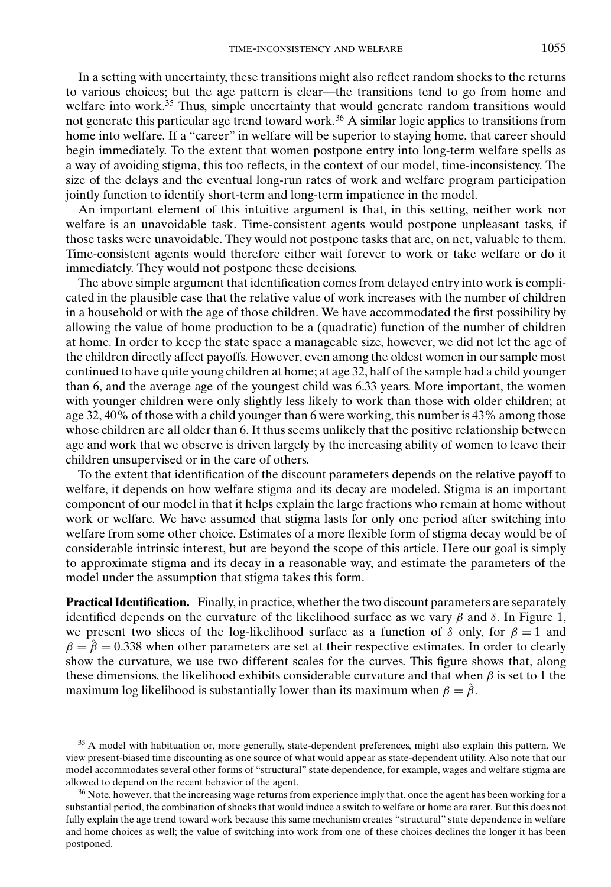In a setting with uncertainty, these transitions might also reflect random shocks to the returns to various choices; but the age pattern is clear—the transitions tend to go from home and welfare into work.<sup>35</sup> Thus, simple uncertainty that would generate random transitions would not generate this particular age trend toward work.<sup>36</sup> A similar logic applies to transitions from home into welfare. If a "career" in welfare will be superior to staying home, that career should begin immediately. To the extent that women postpone entry into long-term welfare spells as a way of avoiding stigma, this too reflects, in the context of our model, time-inconsistency. The size of the delays and the eventual long-run rates of work and welfare program participation jointly function to identify short-term and long-term impatience in the model.

An important element of this intuitive argument is that, in this setting, neither work nor welfare is an unavoidable task. Time-consistent agents would postpone unpleasant tasks, if those tasks were unavoidable. They would not postpone tasks that are, on net, valuable to them. Time-consistent agents would therefore either wait forever to work or take welfare or do it immediately. They would not postpone these decisions.

The above simple argument that identification comes from delayed entry into work is complicated in the plausible case that the relative value of work increases with the number of children in a household or with the age of those children. We have accommodated the first possibility by allowing the value of home production to be a (quadratic) function of the number of children at home. In order to keep the state space a manageable size, however, we did not let the age of the children directly affect payoffs. However, even among the oldest women in our sample most continued to have quite young children at home; at age 32, half of the sample had a child younger than 6, and the average age of the youngest child was 6.33 years. More important, the women with younger children were only slightly less likely to work than those with older children; at age 32, 40% of those with a child younger than 6 were working, this number is 43% among those whose children are all older than 6. It thus seems unlikely that the positive relationship between age and work that we observe is driven largely by the increasing ability of women to leave their children unsupervised or in the care of others.

To the extent that identification of the discount parameters depends on the relative payoff to welfare, it depends on how welfare stigma and its decay are modeled. Stigma is an important component of our model in that it helps explain the large fractions who remain at home without work or welfare. We have assumed that stigma lasts for only one period after switching into welfare from some other choice. Estimates of a more flexible form of stigma decay would be of considerable intrinsic interest, but are beyond the scope of this article. Here our goal is simply to approximate stigma and its decay in a reasonable way, and estimate the parameters of the model under the assumption that stigma takes this form.

**Practical Identification.** Finally, in practice, whether the two discount parameters are separately identified depends on the curvature of the likelihood surface as we vary  $β$  and  $δ$ . In Figure 1, we present two slices of the log-likelihood surface as a function of  $\delta$  only, for  $\beta = 1$  and  $\beta = \hat{\beta} = 0.338$  when other parameters are set at their respective estimates. In order to clearly show the curvature, we use two different scales for the curves. This figure shows that, along these dimensions, the likelihood exhibits considerable curvature and that when  $\beta$  is set to 1 the maximum log likelihood is substantially lower than its maximum when  $\beta = \hat{\beta}$ .

<sup>&</sup>lt;sup>35</sup> A model with habituation or, more generally, state-dependent preferences, might also explain this pattern. We view present-biased time discounting as one source of what would appear as state-dependent utility. Also note that our model accommodates several other forms of "structural" state dependence, for example, wages and welfare stigma are allowed to depend on the recent behavior of the agent.

<sup>&</sup>lt;sup>36</sup> Note, however, that the increasing wage returns from experience imply that, once the agent has been working for a substantial period, the combination of shocks that would induce a switch to welfare or home are rarer. But this does not fully explain the age trend toward work because this same mechanism creates "structural" state dependence in welfare and home choices as well; the value of switching into work from one of these choices declines the longer it has been postponed.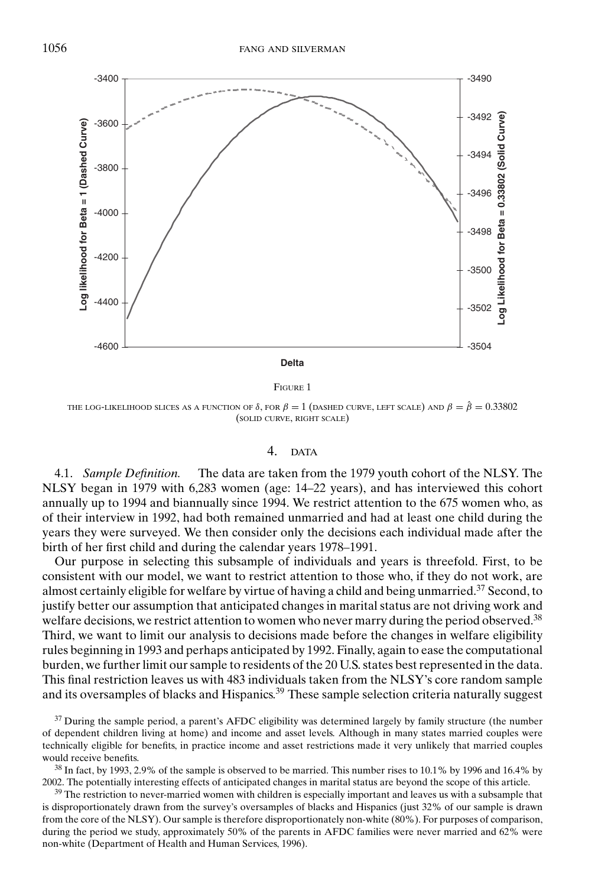

FIGURE 1

THE LOG-LIKELIHOOD SLICES AS A FUNCTION OF  $\delta$ , FOR  $\beta = 1$  (DASHED CURVE, LEFT SCALE) AND  $\beta = \hat{\beta} = 0.33802$ (SOLID CURVE, RIGHT SCALE)

### 4. DATA

4.1. *Sample Definition.* The data are taken from the 1979 youth cohort of the NLSY. The NLSY began in 1979 with 6,283 women (age: 14–22 years), and has interviewed this cohort annually up to 1994 and biannually since 1994. We restrict attention to the 675 women who, as of their interview in 1992, had both remained unmarried and had at least one child during the years they were surveyed. We then consider only the decisions each individual made after the birth of her first child and during the calendar years 1978–1991.

Our purpose in selecting this subsample of individuals and years is threefold. First, to be consistent with our model, we want to restrict attention to those who, if they do not work, are almost certainly eligible for welfare by virtue of having a child and being unmarried.<sup>37</sup> Second, to justify better our assumption that anticipated changes in marital status are not driving work and welfare decisions, we restrict attention to women who never marry during the period observed.<sup>38</sup> Third, we want to limit our analysis to decisions made before the changes in welfare eligibility rules beginning in 1993 and perhaps anticipated by 1992. Finally, again to ease the computational burden, we further limit our sample to residents of the 20 U.S. states best represented in the data. This final restriction leaves us with 483 individuals taken from the NLSY's core random sample and its oversamples of blacks and Hispanics.<sup>39</sup> These sample selection criteria naturally suggest

 $37$  During the sample period, a parent's AFDC eligibility was determined largely by family structure (the number of dependent children living at home) and income and asset levels. Although in many states married couples were technically eligible for benefits, in practice income and asset restrictions made it very unlikely that married couples would receive benefits.

 $38$  In fact, by 1993, 2.9% of the sample is observed to be married. This number rises to 10.1% by 1996 and 16.4% by 2002. The potentially interesting effects of anticipated changes in marital status are beyond the scope of this article.

<sup>39</sup> The restriction to never-married women with children is especially important and leaves us with a subsample that is disproportionately drawn from the survey's oversamples of blacks and Hispanics (just 32% of our sample is drawn from the core of the NLSY). Our sample is therefore disproportionately non-white (80%). For purposes of comparison, during the period we study, approximately 50% of the parents in AFDC families were never married and 62% were non-white (Department of Health and Human Services, 1996).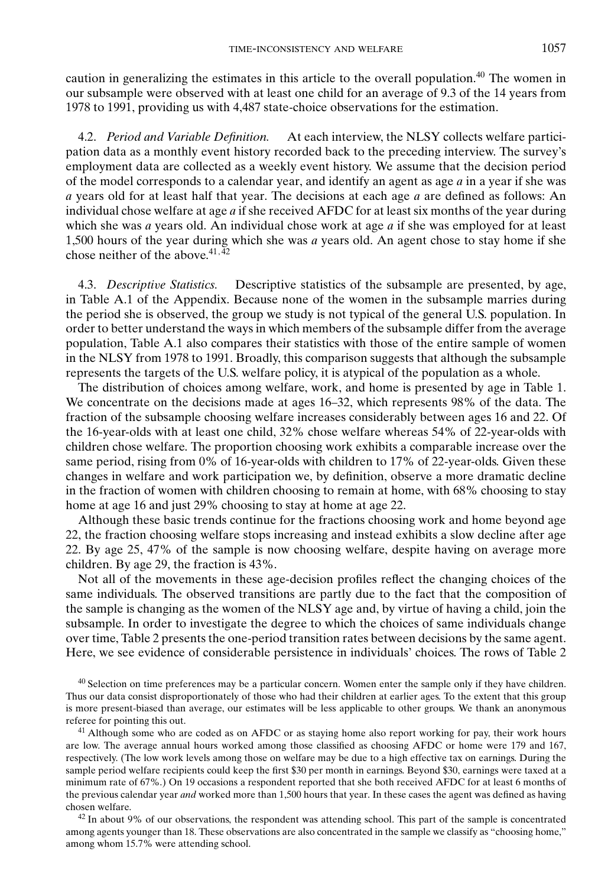caution in generalizing the estimates in this article to the overall population.<sup>40</sup> The women in our subsample were observed with at least one child for an average of 9.3 of the 14 years from 1978 to 1991, providing us with 4,487 state-choice observations for the estimation.

4.2. *Period and Variable Definition.* At each interview, the NLSY collects welfare participation data as a monthly event history recorded back to the preceding interview. The survey's employment data are collected as a weekly event history. We assume that the decision period of the model corresponds to a calendar year, and identify an agent as age *a* in a year if she was *a* years old for at least half that year. The decisions at each age *a* are defined as follows: An individual chose welfare at age *a* if she received AFDC for at least six months of the year during which she was *a* years old. An individual chose work at age *a* if she was employed for at least 1,500 hours of the year during which she was *a* years old. An agent chose to stay home if she chose neither of the above.  $41,42$ 

4.3. *Descripti*v*e Statistics.* Descriptive statistics of the subsample are presented, by age, in Table A.1 of the Appendix. Because none of the women in the subsample marries during the period she is observed, the group we study is not typical of the general U.S. population. In order to better understand the ways in which members of the subsample differ from the average population, Table A.1 also compares their statistics with those of the entire sample of women in the NLSY from 1978 to 1991. Broadly, this comparison suggests that although the subsample represents the targets of the U.S. welfare policy, it is atypical of the population as a whole.

The distribution of choices among welfare, work, and home is presented by age in Table 1. We concentrate on the decisions made at ages 16–32, which represents 98% of the data. The fraction of the subsample choosing welfare increases considerably between ages 16 and 22. Of the 16-year-olds with at least one child, 32% chose welfare whereas 54% of 22-year-olds with children chose welfare. The proportion choosing work exhibits a comparable increase over the same period, rising from 0% of 16-year-olds with children to 17% of 22-year-olds. Given these changes in welfare and work participation we, by definition, observe a more dramatic decline in the fraction of women with children choosing to remain at home, with 68% choosing to stay home at age 16 and just 29% choosing to stay at home at age 22.

Although these basic trends continue for the fractions choosing work and home beyond age 22, the fraction choosing welfare stops increasing and instead exhibits a slow decline after age 22. By age 25, 47% of the sample is now choosing welfare, despite having on average more children. By age 29, the fraction is 43%.

Not all of the movements in these age-decision profiles reflect the changing choices of the same individuals. The observed transitions are partly due to the fact that the composition of the sample is changing as the women of the NLSY age and, by virtue of having a child, join the subsample. In order to investigate the degree to which the choices of same individuals change over time, Table 2 presents the one-period transition rates between decisions by the same agent. Here, we see evidence of considerable persistence in individuals' choices. The rows of Table 2

<sup>40</sup> Selection on time preferences may be a particular concern. Women enter the sample only if they have children. Thus our data consist disproportionately of those who had their children at earlier ages. To the extent that this group is more present-biased than average, our estimates will be less applicable to other groups. We thank an anonymous referee for pointing this out.

<sup>41</sup> Although some who are coded as on AFDC or as staying home also report working for pay, their work hours are low. The average annual hours worked among those classified as choosing AFDC or home were 179 and 167, respectively. (The low work levels among those on welfare may be due to a high effective tax on earnings. During the sample period welfare recipients could keep the first \$30 per month in earnings. Beyond \$30, earnings were taxed at a minimum rate of 67%.) On 19 occasions a respondent reported that she both received AFDC for at least 6 months of the previous calendar year *and* worked more than 1,500 hours that year. In these cases the agent was defined as having chosen welfare.

 $42$  In about 9% of our observations, the respondent was attending school. This part of the sample is concentrated among agents younger than 18. These observations are also concentrated in the sample we classify as "choosing home," among whom 15.7% were attending school.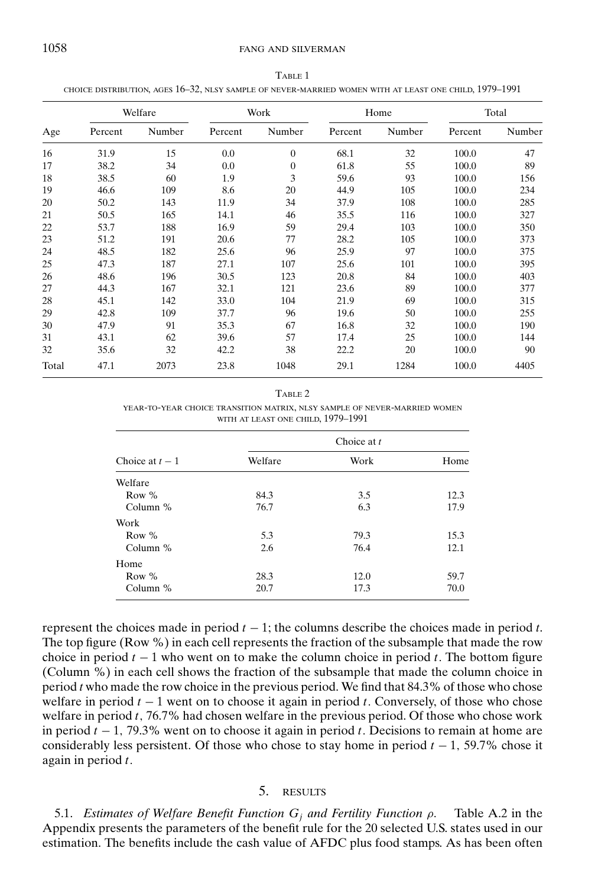TABLE 1

CHOICE DISTRIBUTION, AGES 16–32, NLSY SAMPLE OF NEVER-MARRIED WOMEN WITH AT LEAST ONE CHILD, 1979–1991

|       |         | Welfare |         | Work           |         | Home   |         | Total  |
|-------|---------|---------|---------|----------------|---------|--------|---------|--------|
| Age   | Percent | Number  | Percent | Number         | Percent | Number | Percent | Number |
| 16    | 31.9    | 15      | 0.0     | $\overline{0}$ | 68.1    | 32     | 100.0   | 47     |
| 17    | 38.2    | 34      | 0.0     | $\overline{0}$ | 61.8    | 55     | 100.0   | 89     |
| 18    | 38.5    | 60      | 1.9     | 3              | 59.6    | 93     | 100.0   | 156    |
| 19    | 46.6    | 109     | 8.6     | 20             | 44.9    | 105    | 100.0   | 234    |
| 20    | 50.2    | 143     | 11.9    | 34             | 37.9    | 108    | 100.0   | 285    |
| 21    | 50.5    | 165     | 14.1    | 46             | 35.5    | 116    | 100.0   | 327    |
| 22    | 53.7    | 188     | 16.9    | 59             | 29.4    | 103    | 100.0   | 350    |
| 23    | 51.2    | 191     | 20.6    | 77             | 28.2    | 105    | 100.0   | 373    |
| 24    | 48.5    | 182     | 25.6    | 96             | 25.9    | 97     | 100.0   | 375    |
| 25    | 47.3    | 187     | 27.1    | 107            | 25.6    | 101    | 100.0   | 395    |
| 26    | 48.6    | 196     | 30.5    | 123            | 20.8    | 84     | 100.0   | 403    |
| 27    | 44.3    | 167     | 32.1    | 121            | 23.6    | 89     | 100.0   | 377    |
| 28    | 45.1    | 142     | 33.0    | 104            | 21.9    | 69     | 100.0   | 315    |
| 29    | 42.8    | 109     | 37.7    | 96             | 19.6    | 50     | 100.0   | 255    |
| 30    | 47.9    | 91      | 35.3    | 67             | 16.8    | 32     | 100.0   | 190    |
| 31    | 43.1    | 62      | 39.6    | 57             | 17.4    | 25     | 100.0   | 144    |
| 32    | 35.6    | 32      | 42.2    | 38             | 22.2    | 20     | 100.0   | 90     |
| Total | 47.1    | 2073    | 23.8    | 1048           | 29.1    | 1284   | 100.0   | 4405   |

TABLE 2

YEAR-TO-YEAR CHOICE TRANSITION MATRIX, NLSY SAMPLE OF NEVER-MARRIED WOMEN WITH AT LEAST ONE CHILD, 1979–1991

|                 |         | Choice at $t$ | Home |  |  |  |
|-----------------|---------|---------------|------|--|--|--|
| Choice at $t-1$ | Welfare | Work          |      |  |  |  |
| Welfare         |         |               |      |  |  |  |
| Row $%$         | 84.3    | 3.5           | 12.3 |  |  |  |
| Column %        | 76.7    | 6.3           | 17.9 |  |  |  |
| Work            |         |               |      |  |  |  |
| Row $\%$        | 5.3     | 79.3          | 15.3 |  |  |  |
| Column %        | 2.6     | 76.4          | 12.1 |  |  |  |
| Home            |         |               |      |  |  |  |
| Row $%$         | 28.3    | 12.0          | 59.7 |  |  |  |
| Column %        | 20.7    | 17.3          | 70.0 |  |  |  |

represent the choices made in period  $t - 1$ ; the columns describe the choices made in period  $t$ . The top figure (Row %) in each cell represents the fraction of the subsample that made the row choice in period  $t - 1$  who went on to make the column choice in period  $t$ . The bottom figure (Column %) in each cell shows the fraction of the subsample that made the column choice in period *t* who made the row choice in the previous period. We find that 84.3% of those who chose welfare in period *t* − 1 went on to choose it again in period *t*. Conversely, of those who chose welfare in period *t*, 76.7% had chosen welfare in the previous period. Of those who chose work in period *t* − 1, 79.3% went on to choose it again in period *t*. Decisions to remain at home are considerably less persistent. Of those who chose to stay home in period *t* − 1, 59.7% chose it again in period *t*.

# 5. RESULTS

5.1. *Estimates of Welfare Benefit Function Gj and Fertility Function* ρ*.* Table A.2 in the Appendix presents the parameters of the benefit rule for the 20 selected U.S. states used in our estimation. The benefits include the cash value of AFDC plus food stamps. As has been often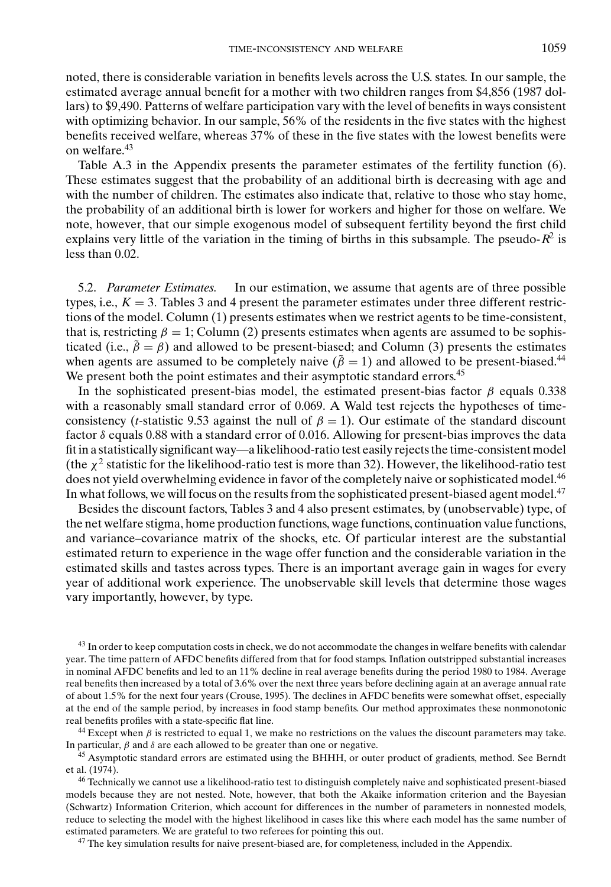noted, there is considerable variation in benefits levels across the U.S. states. In our sample, the estimated average annual benefit for a mother with two children ranges from \$4,856 (1987 dollars) to \$9,490. Patterns of welfare participation vary with the level of benefits in ways consistent with optimizing behavior. In our sample, 56% of the residents in the five states with the highest benefits received welfare, whereas 37% of these in the five states with the lowest benefits were on welfare.43

Table A.3 in the Appendix presents the parameter estimates of the fertility function (6). These estimates suggest that the probability of an additional birth is decreasing with age and with the number of children. The estimates also indicate that, relative to those who stay home, the probability of an additional birth is lower for workers and higher for those on welfare. We note, however, that our simple exogenous model of subsequent fertility beyond the first child explains very little of the variation in the timing of births in this subsample. The pseudo- $R^2$  is less than 0.02.

5.2. *Parameter Estimates.* In our estimation, we assume that agents are of three possible types, i.e.,  $K = 3$ . Tables 3 and 4 present the parameter estimates under three different restrictions of the model. Column (1) presents estimates when we restrict agents to be time-consistent, that is, restricting  $\beta = 1$ ; Column (2) presents estimates when agents are assumed to be sophisticated (i.e.,  $\tilde{\beta} = \beta$ ) and allowed to be present-biased; and Column (3) presents the estimates when agents are assumed to be completely naive ( $\tilde{\beta} = 1$ ) and allowed to be present-biased.<sup>44</sup> We present both the point estimates and their asymptotic standard errors.<sup>45</sup>

In the sophisticated present-bias model, the estimated present-bias factor  $\beta$  equals 0.338 with a reasonably small standard error of 0.069. A Wald test rejects the hypotheses of timeconsistency (*t*-statistic 9.53 against the null of  $\beta = 1$ ). Our estimate of the standard discount factor  $\delta$  equals 0.88 with a standard error of 0.016. Allowing for present-bias improves the data fit in a statistically significant way—a likelihood-ratio test easily rejects the time-consistent model (the  $\chi^2$  statistic for the likelihood-ratio test is more than 32). However, the likelihood-ratio test does not yield overwhelming evidence in favor of the completely naive or sophisticated model.<sup>46</sup> In what follows, we will focus on the results from the sophisticated present-biased agent model.<sup>47</sup>

Besides the discount factors, Tables 3 and 4 also present estimates, by (unobservable) type, of the net welfare stigma, home production functions, wage functions, continuation value functions, and variance–covariance matrix of the shocks, etc. Of particular interest are the substantial estimated return to experience in the wage offer function and the considerable variation in the estimated skills and tastes across types. There is an important average gain in wages for every year of additional work experience. The unobservable skill levels that determine those wages vary importantly, however, by type.

<sup>43</sup> In order to keep computation costs in check, we do not accommodate the changes in welfare benefits with calendar year. The time pattern of AFDC benefits differed from that for food stamps. Inflation outstripped substantial increases in nominal AFDC benefits and led to an 11% decline in real average benefits during the period 1980 to 1984. Average real benefits then increased by a total of 3.6% over the next three years before declining again at an average annual rate of about 1.5% for the next four years (Crouse, 1995). The declines in AFDC benefits were somewhat offset, especially at the end of the sample period, by increases in food stamp benefits. Our method approximates these nonmonotonic real benefits profiles with a state-specific flat line.

<sup>44</sup> Except when  $\beta$  is restricted to equal 1, we make no restrictions on the values the discount parameters may take. In particular,  $\beta$  and  $\delta$  are each allowed to be greater than one or negative.

<sup>45</sup> Asymptotic standard errors are estimated using the BHHH, or outer product of gradients, method. See Berndt et al. (1974).

<sup>46</sup> Technically we cannot use a likelihood-ratio test to distinguish completely naive and sophisticated present-biased models because they are not nested. Note, however, that both the Akaike information criterion and the Bayesian (Schwartz) Information Criterion, which account for differences in the number of parameters in nonnested models, reduce to selecting the model with the highest likelihood in cases like this where each model has the same number of estimated parameters. We are grateful to two referees for pointing this out.

<sup>47</sup> The key simulation results for naive present-biased are, for completeness, included in the Appendix.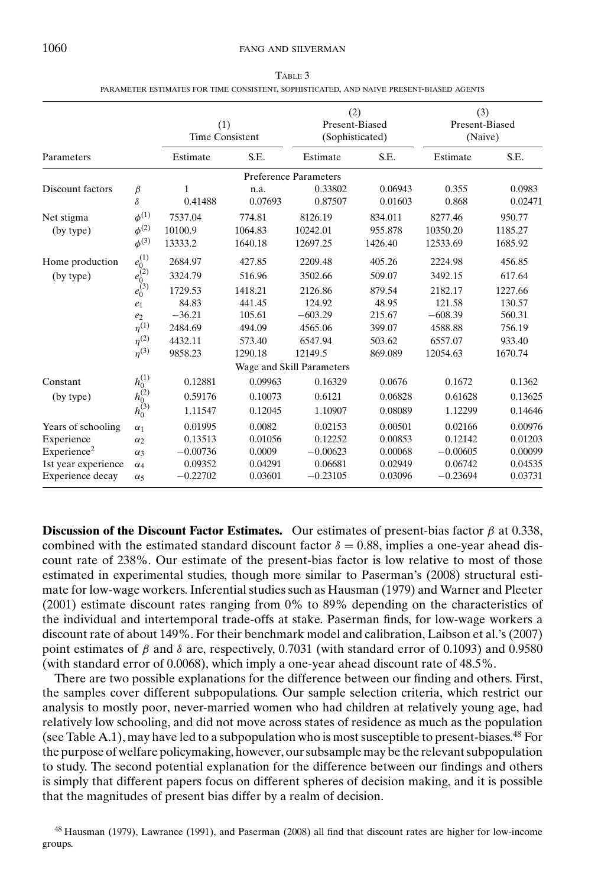| TABLE 3                                                                                 |  |
|-----------------------------------------------------------------------------------------|--|
| PARAMETER ESTIMATES FOR TIME CONSISTENT, SOPHISTICATED, AND NAIVE PRESENT-BIASED AGENTS |  |

|                                                                                                        |                                                                                                                            | (1)<br><b>Time Consistent</b>                                                       |                                                                                | (2)<br>Present-Biased<br>(Sophisticated)                                              |                                                                              | (3)<br>Present-Biased<br>(Naive)                                                       |                                                                                |
|--------------------------------------------------------------------------------------------------------|----------------------------------------------------------------------------------------------------------------------------|-------------------------------------------------------------------------------------|--------------------------------------------------------------------------------|---------------------------------------------------------------------------------------|------------------------------------------------------------------------------|----------------------------------------------------------------------------------------|--------------------------------------------------------------------------------|
| Parameters                                                                                             |                                                                                                                            | Estimate                                                                            | S.E.                                                                           | Estimate                                                                              | S.E.                                                                         | Estimate                                                                               | S.E.                                                                           |
|                                                                                                        |                                                                                                                            |                                                                                     |                                                                                | Preference Parameters                                                                 |                                                                              |                                                                                        |                                                                                |
| Discount factors                                                                                       | $\beta$<br>$\delta$                                                                                                        | 1<br>0.41488                                                                        | n.a.<br>0.07693                                                                | 0.33802<br>0.87507                                                                    | 0.06943<br>0.01603                                                           | 0.355<br>0.868                                                                         | 0.0983<br>0.02471                                                              |
| Net stigma<br>(by type)                                                                                | $\phi^{(1)}$<br>$\phi^{(2)}$<br>$\phi^{(3)}$                                                                               | 7537.04<br>10100.9<br>13333.2                                                       | 774.81<br>1064.83<br>1640.18                                                   | 8126.19<br>10242.01<br>12697.25                                                       | 834.011<br>955.878<br>1426.40                                                | 8277.46<br>10350.20<br>12533.69                                                        | 950.77<br>1185.27<br>1685.92                                                   |
| Home production<br>(by type)                                                                           | $e^{(1)}_{0}$<br>$e^{(2)}_{0}$<br>$e^{(3)}_{0}$<br>$e_1$<br>e <sub>2</sub><br>$\eta^{(1)}$<br>$\eta^{(2)}$<br>$\eta^{(3)}$ | 2684.97<br>3324.79<br>1729.53<br>84.83<br>$-36.21$<br>2484.69<br>4432.11<br>9858.23 | 427.85<br>516.96<br>1418.21<br>441.45<br>105.61<br>494.09<br>573.40<br>1290.18 | 2209.48<br>3502.66<br>2126.86<br>124.92<br>$-603.29$<br>4565.06<br>6547.94<br>12149.5 | 405.26<br>509.07<br>879.54<br>48.95<br>215.67<br>399.07<br>503.62<br>869.089 | 2224.98<br>3492.15<br>2182.17<br>121.58<br>$-608.39$<br>4588.88<br>6557.07<br>12054.63 | 456.85<br>617.64<br>1227.66<br>130.57<br>560.31<br>756.19<br>933.40<br>1670.74 |
| Constant<br>(by type)                                                                                  | $\begin{array}{c} h_0^{(1)} \\ h_0^{(2)} \\ h_0^{(3)} \end{array}$                                                         | 0.12881<br>0.59176<br>1.11547                                                       | 0.09963<br>0.10073<br>0.12045                                                  | Wage and Skill Parameters<br>0.16329<br>0.6121<br>1.10907                             | 0.0676<br>0.06828<br>0.08089                                                 | 0.1672<br>0.61628<br>1.12299                                                           | 0.1362<br>0.13625<br>0.14646                                                   |
| Years of schooling<br>Experience<br>Experience <sup>2</sup><br>1st year experience<br>Experience decay | $\alpha_1$<br>$\alpha_2$<br>$\alpha_3$<br>$\alpha_4$<br>$\alpha_5$                                                         | 0.01995<br>0.13513<br>$-0.00736$<br>0.09352<br>$-0.22702$                           | 0.0082<br>0.01056<br>0.0009<br>0.04291<br>0.03601                              | 0.02153<br>0.12252<br>$-0.00623$<br>0.06681<br>$-0.23105$                             | 0.00501<br>0.00853<br>0.00068<br>0.02949<br>0.03096                          | 0.02166<br>0.12142<br>$-0.00605$<br>0.06742<br>$-0.23694$                              | 0.00976<br>0.01203<br>0.00099<br>0.04535<br>0.03731                            |

**Discussion of the Discount Factor Estimates.** Our estimates of present-bias factor  $\beta$  at 0.338, combined with the estimated standard discount factor  $\delta = 0.88$ , implies a one-year ahead discount rate of 238%. Our estimate of the present-bias factor is low relative to most of those estimated in experimental studies, though more similar to Paserman's (2008) structural estimate for low-wage workers. Inferential studies such as Hausman (1979) and Warner and Pleeter (2001) estimate discount rates ranging from 0% to 89% depending on the characteristics of the individual and intertemporal trade-offs at stake. Paserman finds, for low-wage workers a discount rate of about 149%. For their benchmark model and calibration, Laibson et al.'s (2007) point estimates of  $\beta$  and  $\delta$  are, respectively, 0.7031 (with standard error of 0.1093) and 0.9580 (with standard error of 0.0068), which imply a one-year ahead discount rate of 48.5%.

There are two possible explanations for the difference between our finding and others. First, the samples cover different subpopulations. Our sample selection criteria, which restrict our analysis to mostly poor, never-married women who had children at relatively young age, had relatively low schooling, and did not move across states of residence as much as the population (see Table A.1), may have led to a subpopulation who is most susceptible to present-biases.<sup>48</sup> For the purpose of welfare policymaking, however, our subsample may be the relevant subpopulation to study. The second potential explanation for the difference between our findings and others is simply that different papers focus on different spheres of decision making, and it is possible that the magnitudes of present bias differ by a realm of decision.

<sup>48</sup> Hausman (1979), Lawrance (1991), and Paserman (2008) all find that discount rates are higher for low-income groups.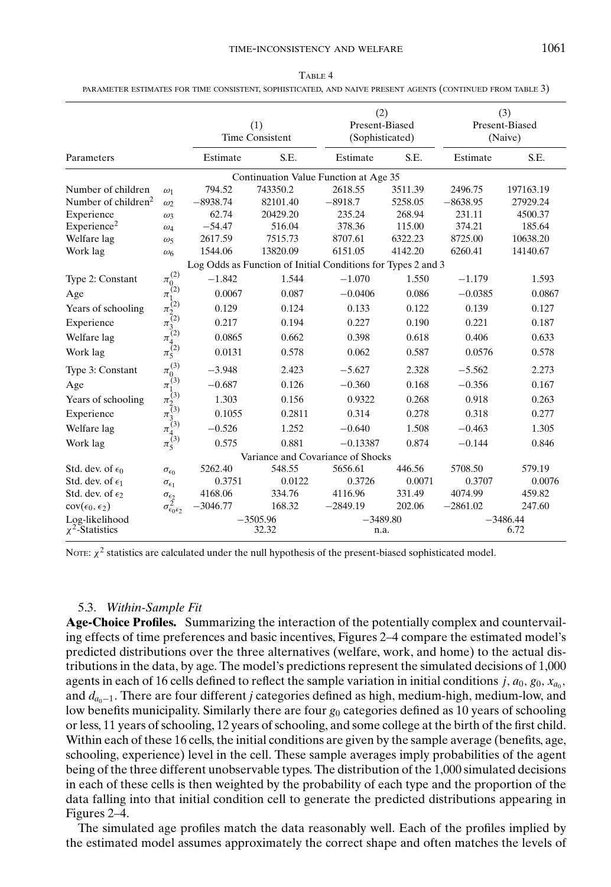| ٠ |  |
|---|--|
|---|--|

PARAMETER ESTIMATES FOR TIME CONSISTENT, SOPHISTICATED, AND NAIVE PRESENT AGENTS (CONTINUED FROM TABLE 3)

|                                     |                                              |            | (1)<br><b>Time Consistent</b>         | (2)<br>Present-Biased<br>(Sophisticated)                     |         |            | (3)<br>Present-Biased<br>(Naive) |  |  |
|-------------------------------------|----------------------------------------------|------------|---------------------------------------|--------------------------------------------------------------|---------|------------|----------------------------------|--|--|
| Parameters                          |                                              | Estimate   | S.E.                                  | Estimate                                                     | S.E.    | Estimate   | S.E.                             |  |  |
|                                     |                                              |            | Continuation Value Function at Age 35 |                                                              |         |            |                                  |  |  |
| Number of children                  | $\omega_1$                                   | 794.52     | 743350.2                              | 2618.55                                                      | 3511.39 | 2496.75    | 197163.19                        |  |  |
| Number of children <sup>2</sup>     | $\omega$                                     | $-8938.74$ | 82101.40                              | $-8918.7$                                                    | 5258.05 | $-8638.95$ | 27929.24                         |  |  |
| Experience                          | $\omega$ 3                                   | 62.74      | 20429.20                              | 235.24                                                       | 268.94  | 231.11     | 4500.37                          |  |  |
| Experience <sup>2</sup>             | $\omega_4$                                   | $-54.47$   | 516.04                                | 378.36                                                       | 115.00  | 374.21     | 185.64                           |  |  |
| Welfare lag                         | $\omega$ 5                                   | 2617.59    | 7515.73                               | 8707.61                                                      | 6322.23 | 8725.00    | 10638.20                         |  |  |
| Work lag                            | $\omega_6$                                   | 1544.06    | 13820.09                              | 6151.05                                                      | 4142.20 | 6260.41    | 14140.67                         |  |  |
|                                     |                                              |            |                                       | Log Odds as Function of Initial Conditions for Types 2 and 3 |         |            |                                  |  |  |
| Type 2: Constant                    | $\pi^{(2)}_0$                                | $-1.842$   | 1.544                                 | $-1.070$                                                     | 1.550   | $-1.179$   | 1.593                            |  |  |
| Age                                 | $\pi_1^{(2)}$                                | 0.0067     | 0.087                                 | $-0.0406$                                                    | 0.086   | $-0.0385$  | 0.0867                           |  |  |
| Years of schooling                  | $\pi_2^{\{2\}}$                              | 0.129      | 0.124                                 | 0.133                                                        | 0.122   | 0.139      | 0.127                            |  |  |
| Experience                          | $\pi_3^{2(2)}$                               | 0.217      | 0.194                                 | 0.227                                                        | 0.190   | 0.221      | 0.187                            |  |  |
| Welfare lag                         | $\pi_4^{(2)}$                                | 0.0865     | 0.662                                 | 0.398                                                        | 0.618   | 0.406      | 0.633                            |  |  |
| Work lag                            | $\pi_{5}^{4}$ <sup>2</sup>                   | 0.0131     | 0.578                                 | 0.062                                                        | 0.587   | 0.0576     | 0.578                            |  |  |
| Type 3: Constant                    | $\pi_0^{(3)}$                                | $-3.948$   | 2.423                                 | $-5.627$                                                     | 2.328   | $-5.562$   | 2.273                            |  |  |
| Age                                 | $\pi_1^{(3)}$                                | $-0.687$   | 0.126                                 | $-0.360$                                                     | 0.168   | $-0.356$   | 0.167                            |  |  |
| Years of schooling                  | $\pi_2^{\{3\}}$                              | 1.303      | 0.156                                 | 0.9322                                                       | 0.268   | 0.918      | 0.263                            |  |  |
| Experience                          | $\pi_3^{(3)}$                                | 0.1055     | 0.2811                                | 0.314                                                        | 0.278   | 0.318      | 0.277                            |  |  |
| Welfare lag                         | $\pi_4^{(3)}$                                | $-0.526$   | 1.252                                 | $-0.640$                                                     | 1.508   | $-0.463$   | 1.305                            |  |  |
| Work lag                            | $\pi_5^{(3)}$                                | 0.575      | 0.881                                 | $-0.13387$                                                   | 0.874   | $-0.144$   | 0.846                            |  |  |
|                                     |                                              |            | Variance and Covariance of Shocks     |                                                              |         |            |                                  |  |  |
| Std. dev. of $\epsilon_0$           | $\sigma_{\epsilon_0}$                        | 5262.40    | 548.55                                | 5656.61                                                      | 446.56  | 5708.50    | 579.19                           |  |  |
| Std. dev. of $\epsilon_1$           | $\sigma_{\epsilon_1}$                        | 0.3751     | 0.0122                                | 0.3726                                                       | 0.0071  | 0.3707     | 0.0076                           |  |  |
| Std. dev. of $\epsilon_2$           | $\sigma_{\epsilon}$                          | 4168.06    | 334.76                                | 4116.96                                                      | 331.49  | 4074.99    | 459.82                           |  |  |
| $cov(\epsilon_0, \epsilon_2)$       | $\sigma_{\epsilon_0\epsilon_2}^{\epsilon_2}$ | $-3046.77$ | 168.32                                | $-2849.19$                                                   | 202.06  | $-2861.02$ | 247.60                           |  |  |
| Log-likelihood<br>$x^2$ -Statistics |                                              |            | $-3505.96$<br>32.32                   | $-3489.80$<br>n.a.                                           |         |            | $-3486.44$<br>6.72               |  |  |

NOTE:  $\chi^2$  statistics are calculated under the null hypothesis of the present-biased sophisticated model.

## 5.3. *Within-Sample Fit*

**Age-Choice Profiles.** Summarizing the interaction of the potentially complex and countervailing effects of time preferences and basic incentives, Figures 2–4 compare the estimated model's predicted distributions over the three alternatives (welfare, work, and home) to the actual distributions in the data, by age. The model's predictions represent the simulated decisions of 1,000 agents in each of 16 cells defined to reflect the sample variation in initial conditions  $j$ ,  $a_0$ ,  $g_0$ ,  $x_{a_0}$ , and *d<sub>a<sub>0</sub>*−1</sub>. There are four different *j* categories defined as high, medium-high, medium-low, and low benefits municipality. Similarly there are four  $g_0$  categories defined as 10 years of schooling or less, 11 years of schooling, 12 years of schooling, and some college at the birth of the first child. Within each of these 16 cells, the initial conditions are given by the sample average (benefits, age, schooling, experience) level in the cell. These sample averages imply probabilities of the agent being of the three different unobservable types. The distribution of the 1,000 simulated decisions in each of these cells is then weighted by the probability of each type and the proportion of the data falling into that initial condition cell to generate the predicted distributions appearing in Figures 2–4.

The simulated age profiles match the data reasonably well. Each of the profiles implied by the estimated model assumes approximately the correct shape and often matches the levels of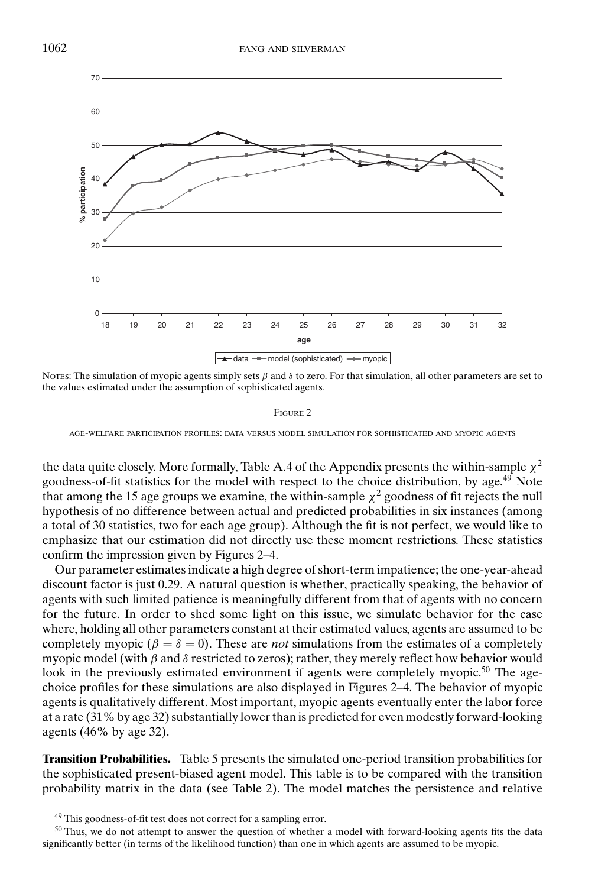

NOTES: The simulation of myopic agents simply sets  $\beta$  and  $\delta$  to zero. For that simulation, all other parameters are set to the values estimated under the assumption of sophisticated agents.

the data quite closely. More formally, Table A.4 of the Appendix presents the within-sample  $\chi^2$ goodness-of-fit statistics for the model with respect to the choice distribution, by age.<sup>49</sup> Note that among the 15 age groups we examine, the within-sample  $\chi^2$  goodness of fit rejects the null hypothesis of no difference between actual and predicted probabilities in six instances (among a total of 30 statistics, two for each age group). Although the fit is not perfect, we would like to emphasize that our estimation did not directly use these moment restrictions. These statistics confirm the impression given by Figures 2–4.

Our parameter estimates indicate a high degree of short-term impatience; the one-year-ahead discount factor is just 0.29. A natural question is whether, practically speaking, the behavior of agents with such limited patience is meaningfully different from that of agents with no concern for the future. In order to shed some light on this issue, we simulate behavior for the case where, holding all other parameters constant at their estimated values, agents are assumed to be completely myopic  $(\beta = \delta = 0)$ . These are *not* simulations from the estimates of a completely myopic model (with  $\beta$  and  $\delta$  restricted to zeros); rather, they merely reflect how behavior would look in the previously estimated environment if agents were completely myopic.<sup>50</sup> The agechoice profiles for these simulations are also displayed in Figures 2–4. The behavior of myopic agents is qualitatively different. Most important, myopic agents eventually enter the labor force at a rate (31% by age 32) substantially lower than is predicted for even modestly forward-looking agents (46% by age 32).

**Transition Probabilities.** Table 5 presents the simulated one-period transition probabilities for the sophisticated present-biased agent model. This table is to be compared with the transition probability matrix in the data (see Table 2). The model matches the persistence and relative

<sup>49</sup> This goodness-of-fit test does not correct for a sampling error.

AGE-WELFARE PARTICIPATION PROFILES: DATA VERSUS MODEL SIMULATION FOR SOPHISTICATED AND MYOPIC AGENTS

<sup>&</sup>lt;sup>50</sup> Thus, we do not attempt to answer the question of whether a model with forward-looking agents fits the data significantly better (in terms of the likelihood function) than one in which agents are assumed to be myopic.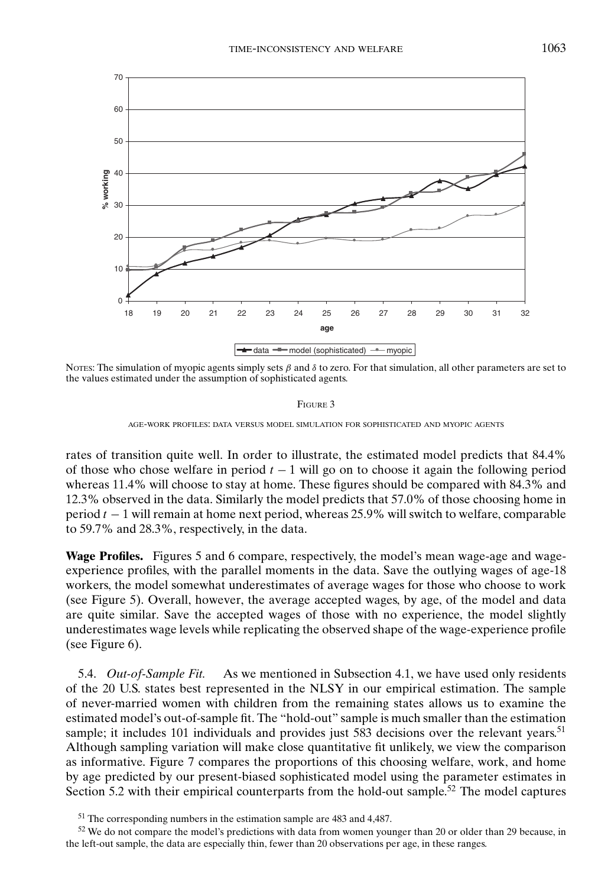

NOTES: The simulation of myopic agents simply sets  $\beta$  and  $\delta$  to zero. For that simulation, all other parameters are set to the values estimated under the assumption of sophisticated agents.

AGE-WORK PROFILES: DATA VERSUS MODEL SIMULATION FOR SOPHISTICATED AND MYOPIC AGENTS

rates of transition quite well. In order to illustrate, the estimated model predicts that 84.4% of those who chose welfare in period *t* − 1 will go on to choose it again the following period whereas 11.4% will choose to stay at home. These figures should be compared with 84.3% and 12.3% observed in the data. Similarly the model predicts that 57.0% of those choosing home in period *t* − 1 will remain at home next period, whereas 25.9% will switch to welfare, comparable to 59.7% and 28.3%, respectively, in the data.

**Wage Profiles.** Figures 5 and 6 compare, respectively, the model's mean wage-age and wageexperience profiles, with the parallel moments in the data. Save the outlying wages of age-18 workers, the model somewhat underestimates of average wages for those who choose to work (see Figure 5). Overall, however, the average accepted wages, by age, of the model and data are quite similar. Save the accepted wages of those with no experience, the model slightly underestimates wage levels while replicating the observed shape of the wage-experience profile (see Figure 6).

5.4. *Out-of-Sample Fit.* As we mentioned in Subsection 4.1, we have used only residents of the 20 U.S. states best represented in the NLSY in our empirical estimation. The sample of never-married women with children from the remaining states allows us to examine the estimated model's out-of-sample fit. The "hold-out" sample is much smaller than the estimation sample; it includes 101 individuals and provides just 583 decisions over the relevant years.<sup>51</sup> Although sampling variation will make close quantitative fit unlikely, we view the comparison as informative. Figure 7 compares the proportions of this choosing welfare, work, and home by age predicted by our present-biased sophisticated model using the parameter estimates in Section 5.2 with their empirical counterparts from the hold-out sample.<sup>52</sup> The model captures

<sup>51</sup> The corresponding numbers in the estimation sample are 483 and 4,487.

<sup>&</sup>lt;sup>52</sup> We do not compare the model's predictions with data from women younger than 20 or older than 29 because, in the left-out sample, the data are especially thin, fewer than 20 observations per age, in these ranges.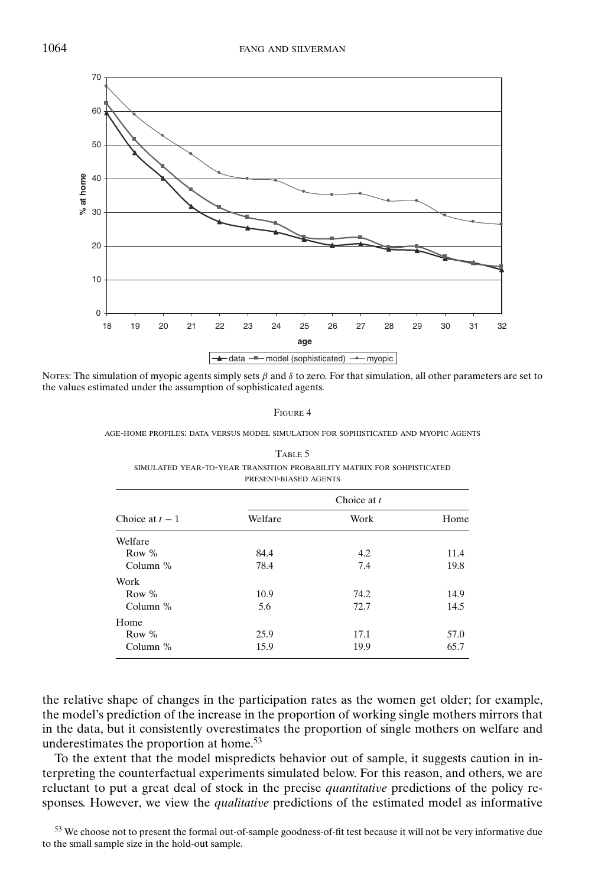

NOTES: The simulation of myopic agents simply sets  $\beta$  and  $\delta$  to zero. For that simulation, all other parameters are set to the values estimated under the assumption of sophisticated agents.

AGE-HOME PROFILES: DATA VERSUS MODEL SIMULATION FOR SOPHISTICATED AND MYOPIC AGENTS

|                 |         | Choice at $t$ |      |  |  |  |
|-----------------|---------|---------------|------|--|--|--|
| Choice at $t-1$ | Welfare | Work          | Home |  |  |  |
| Welfare         |         |               |      |  |  |  |
| Row $%$         | 84.4    | 4.2           | 11.4 |  |  |  |
| Column %        | 78.4    | 7.4           | 19.8 |  |  |  |
| Work            |         |               |      |  |  |  |
| Row $%$         | 10.9    | 74.2          | 14.9 |  |  |  |
| Column %        | 5.6     | 72.7          | 14.5 |  |  |  |
| Home            |         |               |      |  |  |  |
| Row $%$         | 25.9    | 17.1          | 57.0 |  |  |  |
| Column %        | 15.9    | 19.9          | 65.7 |  |  |  |

TABLE 5

the relative shape of changes in the participation rates as the women get older; for example, the model's prediction of the increase in the proportion of working single mothers mirrors that in the data, but it consistently overestimates the proportion of single mothers on welfare and underestimates the proportion at home.<sup>53</sup>

To the extent that the model mispredicts behavior out of sample, it suggests caution in interpreting the counterfactual experiments simulated below. For this reason, and others, we are reluctant to put a great deal of stock in the precise *quantitati*v*e* predictions of the policy responses. However, we view the *qualitati*v*e* predictions of the estimated model as informative

53 We choose not to present the formal out-of-sample goodness-of-fit test because it will not be very informative due to the small sample size in the hold-out sample.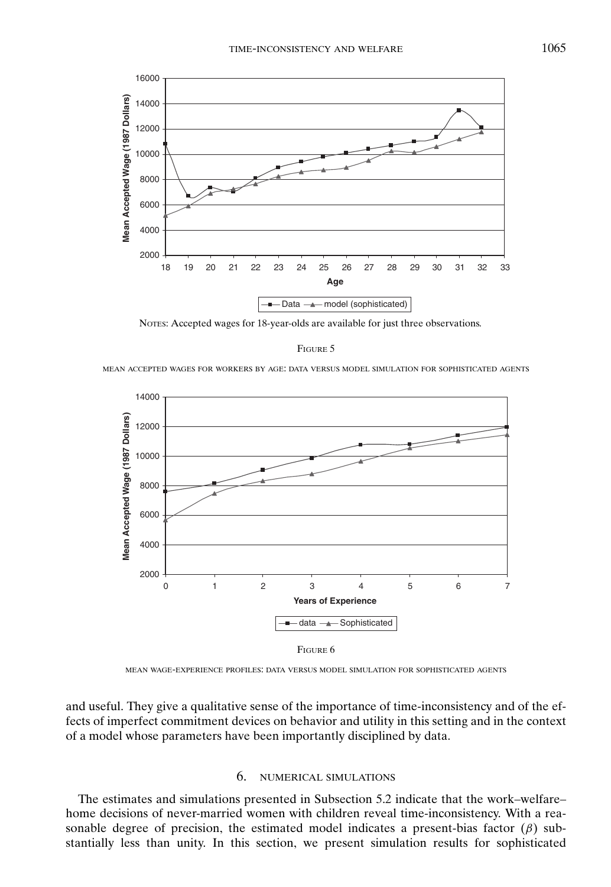

NOTES: Accepted wages for 18-year-olds are available for just three observations.





FIGURE 6

MEAN WAGE-EXPERIENCE PROFILES: DATA VERSUS MODEL SIMULATION FOR SOPHISTICATED AGENTS

and useful. They give a qualitative sense of the importance of time-inconsistency and of the effects of imperfect commitment devices on behavior and utility in this setting and in the context of a model whose parameters have been importantly disciplined by data.

## 6. NUMERICAL SIMULATIONS

The estimates and simulations presented in Subsection 5.2 indicate that the work–welfare– home decisions of never-married women with children reveal time-inconsistency. With a reasonable degree of precision, the estimated model indicates a present-bias factor  $(\beta)$  substantially less than unity. In this section, we present simulation results for sophisticated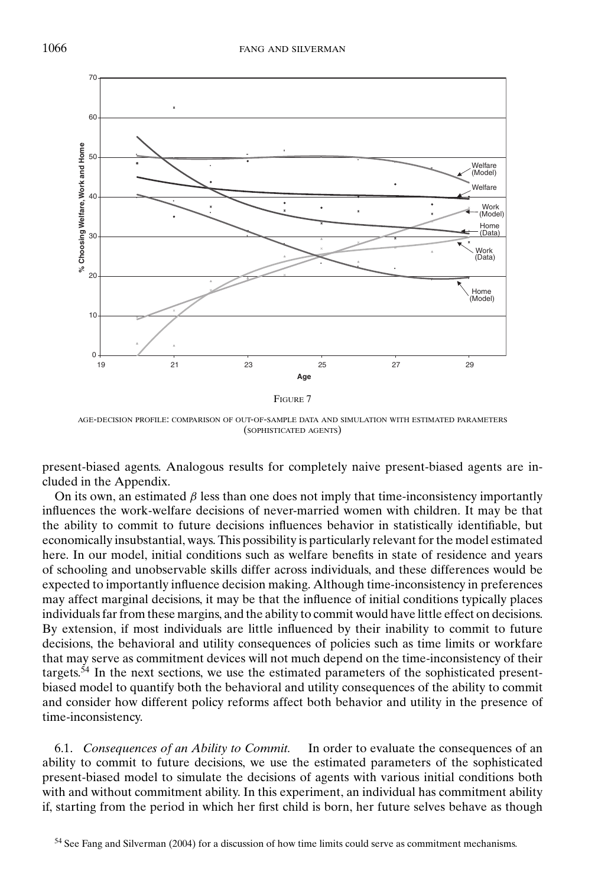

AGE-DECISION PROFILE: COMPARISON OF OUT-OF-SAMPLE DATA AND SIMULATION WITH ESTIMATED PARAMETERS (SOPHISTICATED AGENTS)

present-biased agents. Analogous results for completely naive present-biased agents are included in the Appendix.

On its own, an estimated  $\beta$  less than one does not imply that time-inconsistency importantly influences the work-welfare decisions of never-married women with children. It may be that the ability to commit to future decisions influences behavior in statistically identifiable, but economically insubstantial, ways. This possibility is particularly relevant for the model estimated here. In our model, initial conditions such as welfare benefits in state of residence and years of schooling and unobservable skills differ across individuals, and these differences would be expected to importantly influence decision making. Although time-inconsistency in preferences may affect marginal decisions, it may be that the influence of initial conditions typically places individuals far from these margins, and the ability to commit would have little effect on decisions. By extension, if most individuals are little influenced by their inability to commit to future decisions, the behavioral and utility consequences of policies such as time limits or workfare that may serve as commitment devices will not much depend on the time-inconsistency of their targets. $54$  In the next sections, we use the estimated parameters of the sophisticated presentbiased model to quantify both the behavioral and utility consequences of the ability to commit and consider how different policy reforms affect both behavior and utility in the presence of time-inconsistency.

6.1. *Consequences of an Ability to Commit.* In order to evaluate the consequences of an ability to commit to future decisions, we use the estimated parameters of the sophisticated present-biased model to simulate the decisions of agents with various initial conditions both with and without commitment ability. In this experiment, an individual has commitment ability if, starting from the period in which her first child is born, her future selves behave as though

<sup>54</sup> See Fang and Silverman (2004) for a discussion of how time limits could serve as commitment mechanisms.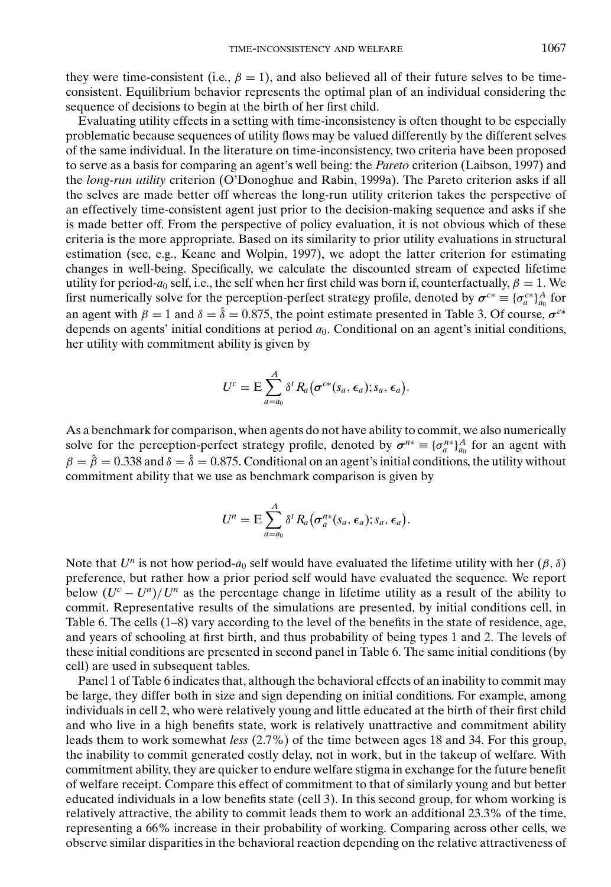they were time-consistent (i.e.,  $\beta = 1$ ), and also believed all of their future selves to be timeconsistent. Equilibrium behavior represents the optimal plan of an individual considering the sequence of decisions to begin at the birth of her first child.

Evaluating utility effects in a setting with time-inconsistency is often thought to be especially problematic because sequences of utility flows may be valued differently by the different selves of the same individual. In the literature on time-inconsistency, two criteria have been proposed to serve as a basis for comparing an agent's well being: the *Pareto* criterion (Laibson, 1997) and the *long-run utility* criterion (O'Donoghue and Rabin, 1999a). The Pareto criterion asks if all the selves are made better off whereas the long-run utility criterion takes the perspective of an effectively time-consistent agent just prior to the decision-making sequence and asks if she is made better off. From the perspective of policy evaluation, it is not obvious which of these criteria is the more appropriate. Based on its similarity to prior utility evaluations in structural estimation (see, e.g., Keane and Wolpin, 1997), we adopt the latter criterion for estimating changes in well-being. Specifically, we calculate the discounted stream of expected lifetime utility for period- $a_0$  self, i.e., the self when her first child was born if, counterfactually,  $\beta = 1$ . We first numerically solve for the perception-perfect strategy profile, denoted by  $\sigma^{c*} \equiv {\{\sigma_a^{c*}\}}_{a_0}^A$  for an agent with  $\beta = 1$  and  $\delta = \hat{\delta} = 0.875$ , the point estimate presented in Table 3. Of course,  $\sigma^{c*}$ depends on agents' initial conditions at period *a*0. Conditional on an agent's initial conditions, her utility with commitment ability is given by

$$
U^c = \mathrm{E} \sum_{a=a_0}^A \delta^t R_a(\boldsymbol{\sigma}^{c*}(s_a,\boldsymbol{\epsilon}_a); s_a, \boldsymbol{\epsilon}_a).
$$

As a benchmark for comparison, when agents do not have ability to commit, we also numerically solve for the perception-perfect strategy profile, denoted by  $\sigma^{n*} \equiv {\sigma_a^{n*}}_{a_0}^A$  for an agent with  $\beta = \hat{\beta} = 0.338$  and  $\delta = \hat{\delta} = 0.875$ . Conditional on an agent's initial conditions, the utility without commitment ability that we use as benchmark comparison is given by

$$
U^n = \mathrm{E} \sum_{a=a_0}^A \delta^t R_a(\sigma_a^{n*}(s_a,\epsilon_a); s_a, \epsilon_a).
$$

Note that  $U^n$  is not how period- $a_0$  self would have evaluated the lifetime utility with her  $(\beta, \delta)$ preference, but rather how a prior period self would have evaluated the sequence. We report below  $(U^c - U^n)/U^n$  as the percentage change in lifetime utility as a result of the ability to commit. Representative results of the simulations are presented, by initial conditions cell, in Table 6. The cells (1–8) vary according to the level of the benefits in the state of residence, age, and years of schooling at first birth, and thus probability of being types 1 and 2. The levels of these initial conditions are presented in second panel in Table 6. The same initial conditions (by cell) are used in subsequent tables.

Panel 1 of Table 6 indicates that, although the behavioral effects of an inability to commit may be large, they differ both in size and sign depending on initial conditions. For example, among individuals in cell 2, who were relatively young and little educated at the birth of their first child and who live in a high benefits state, work is relatively unattractive and commitment ability leads them to work somewhat *less* (2.7%) of the time between ages 18 and 34. For this group, the inability to commit generated costly delay, not in work, but in the takeup of welfare. With commitment ability, they are quicker to endure welfare stigma in exchange for the future benefit of welfare receipt. Compare this effect of commitment to that of similarly young and but better educated individuals in a low benefits state (cell 3). In this second group, for whom working is relatively attractive, the ability to commit leads them to work an additional 23.3% of the time, representing a 66% increase in their probability of working. Comparing across other cells, we observe similar disparities in the behavioral reaction depending on the relative attractiveness of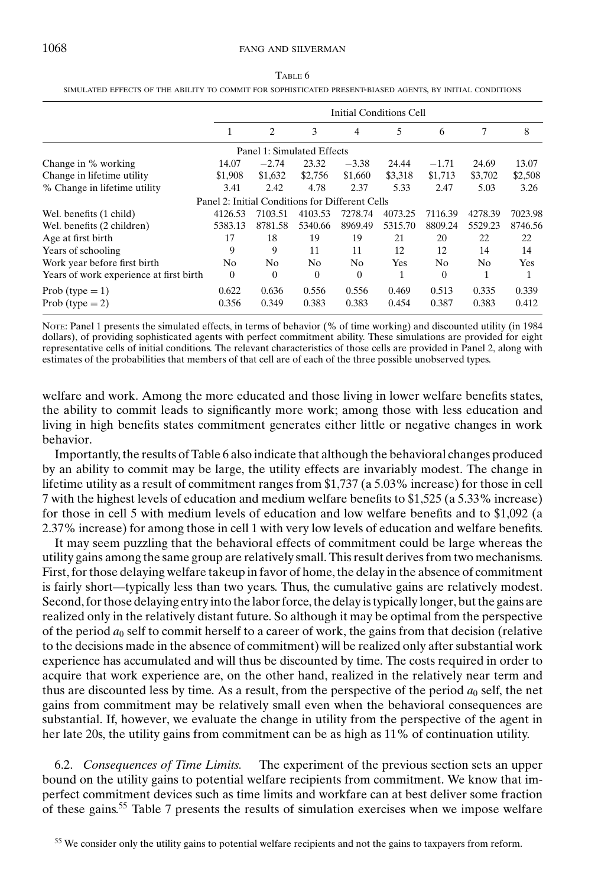|                                         |                                                 |                            |              | <b>Initial Conditions Cell</b> |         |                |         |         |  |  |
|-----------------------------------------|-------------------------------------------------|----------------------------|--------------|--------------------------------|---------|----------------|---------|---------|--|--|
|                                         | 1                                               | 2                          | 3            | 4                              | 5       | 6              | 7       | 8       |  |  |
|                                         |                                                 | Panel 1: Simulated Effects |              |                                |         |                |         |         |  |  |
| Change in % working                     | 14.07                                           | $-2.74$                    | 23.32        | $-3.38$                        | 24.44   | $-1.71$        | 24.69   | 13.07   |  |  |
| Change in lifetime utility              | \$1,908                                         | \$1,632                    | \$2,756      | \$1,660                        | \$3,318 | \$1,713        | \$3,702 | \$2,508 |  |  |
| % Change in lifetime utility            | 3.41                                            | 2.42                       | 4.78         | 2.37                           | 5.33    | 2.47           | 5.03    | 3.26    |  |  |
|                                         | Panel 2: Initial Conditions for Different Cells |                            |              |                                |         |                |         |         |  |  |
| Wel. benefits (1 child)                 | 4126.53                                         | 7103.51                    | 4103.53      | 7278.74                        | 4073.25 | 7116.39        | 4278.39 | 7023.98 |  |  |
| Wel. benefits (2 children)              | 5383.13                                         | 8781.58                    | 5340.66      | 8969.49                        | 5315.70 | 8809.24        | 5529.23 | 8746.56 |  |  |
| Age at first birth                      | 17                                              | 18                         | 19           | 19                             | 21      | 20             | 22      | 22      |  |  |
| Years of schooling                      | 9                                               | 9                          | 11           | 11                             | 12      | 12             | 14      | 14      |  |  |
| Work year before first birth            | No                                              | No                         | No           | No                             | Yes     | N <sub>0</sub> | No      | Yes     |  |  |
| Years of work experience at first birth | $\mathbf{0}$                                    | $\mathbf{0}$               | $\mathbf{0}$ | $\Omega$                       | 1       | $\theta$       | 1       | 1       |  |  |
| Prob (type $= 1$ )                      | 0.622                                           | 0.636                      | 0.556        | 0.556                          | 0.469   | 0.513          | 0.335   | 0.339   |  |  |
| Prob (type $= 2$ )                      | 0.356                                           | 0.349                      | 0.383        | 0.383                          | 0.454   | 0.387          | 0.383   | 0.412   |  |  |

 $T = 6$ SIMULATED EFFECTS OF THE ABILITY TO COMMIT FOR SOPHISTICATED PRESENT-BIASED AGENTS, BY INITIAL CONDITIONS

NOTE: Panel 1 presents the simulated effects, in terms of behavior (% of time working) and discounted utility (in 1984 dollars), of providing sophisticated agents with perfect commitment ability. These simulations are provided for eight representative cells of initial conditions. The relevant characteristics of those cells are provided in Panel 2, along with estimates of the probabilities that members of that cell are of each of the three possible unobserved types.

welfare and work. Among the more educated and those living in lower welfare benefits states, the ability to commit leads to significantly more work; among those with less education and living in high benefits states commitment generates either little or negative changes in work behavior.

Importantly, the results of Table 6 also indicate that although the behavioral changes produced by an ability to commit may be large, the utility effects are invariably modest. The change in lifetime utility as a result of commitment ranges from \$1,737 (a 5.03% increase) for those in cell 7 with the highest levels of education and medium welfare benefits to \$1,525 (a 5.33% increase) for those in cell 5 with medium levels of education and low welfare benefits and to \$1,092 (a 2.37% increase) for among those in cell 1 with very low levels of education and welfare benefits.

It may seem puzzling that the behavioral effects of commitment could be large whereas the utility gains among the same group are relatively small. This result derives from two mechanisms. First, for those delaying welfare takeup in favor of home, the delay in the absence of commitment is fairly short—typically less than two years. Thus, the cumulative gains are relatively modest. Second, for those delaying entry into the labor force, the delay is typically longer, but the gains are realized only in the relatively distant future. So although it may be optimal from the perspective of the period  $a_0$  self to commit herself to a career of work, the gains from that decision (relative to the decisions made in the absence of commitment) will be realized only after substantial work experience has accumulated and will thus be discounted by time. The costs required in order to acquire that work experience are, on the other hand, realized in the relatively near term and thus are discounted less by time. As a result, from the perspective of the period  $a_0$  self, the net gains from commitment may be relatively small even when the behavioral consequences are substantial. If, however, we evaluate the change in utility from the perspective of the agent in her late 20s, the utility gains from commitment can be as high as 11% of continuation utility.

6.2. *Consequences of Time Limits.* The experiment of the previous section sets an upper bound on the utility gains to potential welfare recipients from commitment. We know that imperfect commitment devices such as time limits and workfare can at best deliver some fraction of these gains.<sup>55</sup> Table 7 presents the results of simulation exercises when we impose welfare

<sup>&</sup>lt;sup>55</sup> We consider only the utility gains to potential welfare recipients and not the gains to taxpayers from reform.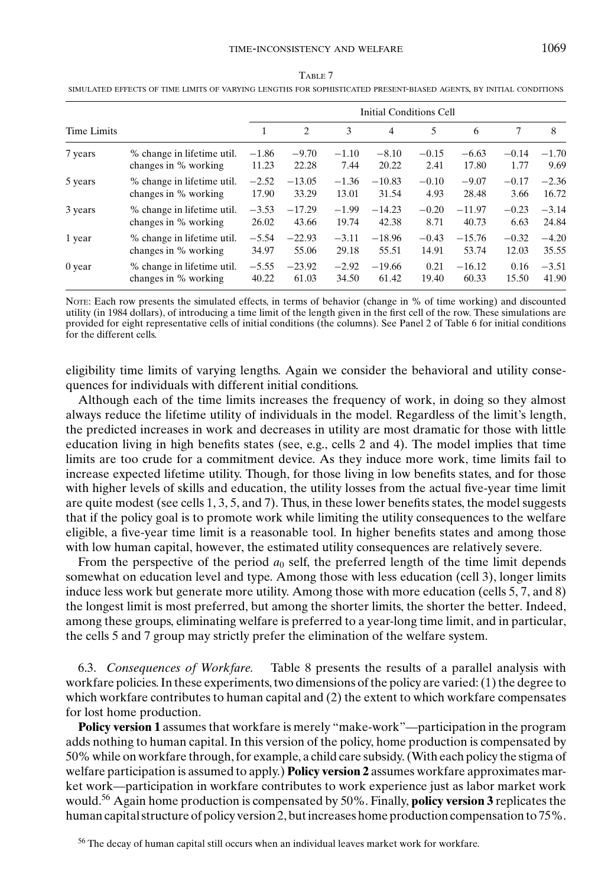## TIME-INCONSISTENCY AND WELFARE 1069

|             |                            |         |                |         | Initial Conditions Cell |         |          |         |         |
|-------------|----------------------------|---------|----------------|---------|-------------------------|---------|----------|---------|---------|
| Time Limits |                            |         | $\overline{c}$ | 3       | $\overline{4}$          | 5       | 6        | 7       | 8       |
| 7 years     | % change in lifetime util. | $-1.86$ | $-9.70$        | $-1.10$ | $-8.10$                 | $-0.15$ | $-6.63$  | $-0.14$ | $-1.70$ |
|             | changes in % working       | 11.23   | 22.28          | 7.44    | 20.22                   | 2.41    | 17.80    | 1.77    | 9.69    |
| 5 years     | % change in lifetime util. | $-2.52$ | $-13.05$       | $-1.36$ | $-10.83$                | $-0.10$ | $-9.07$  | $-0.17$ | $-2.36$ |
|             | changes in % working       | 17.90   | 33.29          | 13.01   | 31.54                   | 4.93    | 28.48    | 3.66    | 16.72   |
| 3 years     | % change in lifetime util. | $-3.53$ | $-17.29$       | $-1.99$ | $-14.23$                | $-0.20$ | $-11.97$ | $-0.23$ | $-3.14$ |
|             | changes in % working       | 26.02   | 43.66          | 19.74   | 42.38                   | 8.71    | 40.73    | 6.63    | 24.84   |
| 1 year      | % change in lifetime util. | $-5.54$ | $-22.93$       | $-3.11$ | $-18.96$                | $-0.43$ | $-15.76$ | $-0.32$ | $-4.20$ |
|             | changes in % working       | 34.97   | 55.06          | 29.18   | 55.51                   | 14.91   | 53.74    | 12.03   | 35.55   |
| $0$ year    | % change in lifetime util. | $-5.55$ | $-23.92$       | $-2.92$ | $-19.66$                | 0.21    | $-16.12$ | 0.16    | $-3.51$ |
|             | changes in % working       | 40.22   | 61.03          | 34.50   | 61.42                   | 19.40   | 60.33    | 15.50   | 41.90   |

TABLE 7 SIMULATED EFFECTS OF TIME LIMITS OF VARYING LENGTHS FOR SOPHISTICATED PRESENT-BIASED AGENTS, BY INITIAL CONDITIONS

NOTE: Each row presents the simulated effects, in terms of behavior (change in % of time working) and discounted utility (in 1984 dollars), of introducing a time limit of the length given in the first cell of the row. These simulations are provided for eight representative cells of initial conditions (the columns). See Panel 2 of Table 6 for initial conditions for the different cells.

eligibility time limits of varying lengths. Again we consider the behavioral and utility consequences for individuals with different initial conditions.

Although each of the time limits increases the frequency of work, in doing so they almost always reduce the lifetime utility of individuals in the model. Regardless of the limit's length, the predicted increases in work and decreases in utility are most dramatic for those with little education living in high benefits states (see, e.g., cells 2 and 4). The model implies that time limits are too crude for a commitment device. As they induce more work, time limits fail to increase expected lifetime utility. Though, for those living in low benefits states, and for those with higher levels of skills and education, the utility losses from the actual five-year time limit are quite modest (see cells 1, 3, 5, and 7). Thus, in these lower benefits states, the model suggests that if the policy goal is to promote work while limiting the utility consequences to the welfare eligible, a five-year time limit is a reasonable tool. In higher benefits states and among those with low human capital, however, the estimated utility consequences are relatively severe.

From the perspective of the period  $a_0$  self, the preferred length of the time limit depends somewhat on education level and type. Among those with less education (cell 3), longer limits induce less work but generate more utility. Among those with more education (cells 5, 7, and 8) the longest limit is most preferred, but among the shorter limits, the shorter the better. Indeed, among these groups, eliminating welfare is preferred to a year-long time limit, and in particular, the cells 5 and 7 group may strictly prefer the elimination of the welfare system.

6.3. *Consequences of Workfare.* Table 8 presents the results of a parallel analysis with workfare policies. In these experiments, two dimensions of the policy are varied: (1) the degree to which workfare contributes to human capital and (2) the extent to which workfare compensates for lost home production.

**Policy version 1** assumes that workfare is merely "make-work"—participation in the program adds nothing to human capital. In this version of the policy, home production is compensated by 50% while on workfare through, for example, a child care subsidy. (With each policy the stigma of welfare participation is assumed to apply.) **Policy version 2** assumes workfare approximates market work—participation in workfare contributes to work experience just as labor market work would.56 Again home production is compensated by 50%. Finally, **policy version 3** replicates the human capital structure of policy version 2, but increases home production compensation to 75%.

<sup>56</sup> The decay of human capital still occurs when an individual leaves market work for workfare.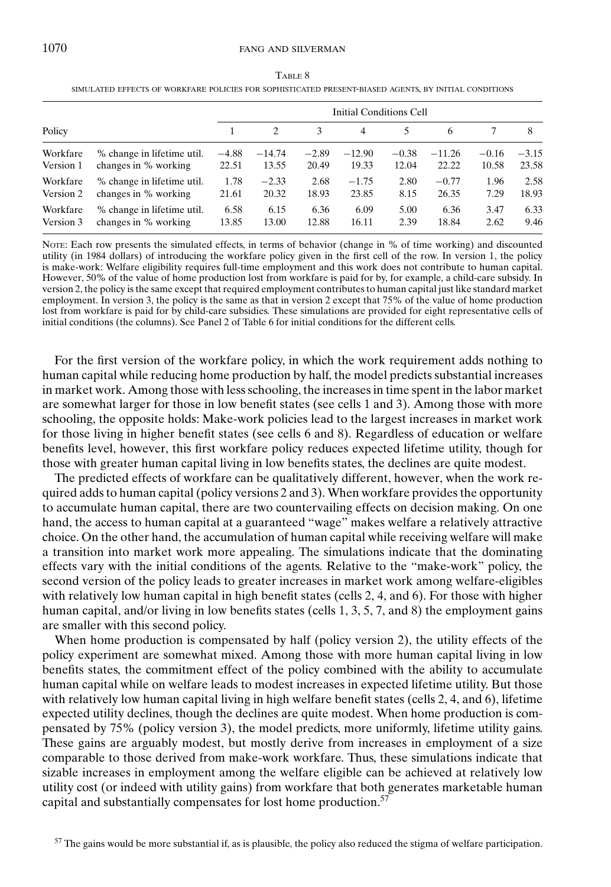## 1070 FANG AND SILVERMAN

|           |                            |         |                |         | Initial Conditions Cell |         |          |         |         |
|-----------|----------------------------|---------|----------------|---------|-------------------------|---------|----------|---------|---------|
| Policy    |                            |         | $\mathfrak{D}$ | 3       | 4                       | 5       | 6        |         | 8       |
| Workfare  | % change in lifetime util. | $-4.88$ | $-14.74$       | $-2.89$ | $-12.90$                | $-0.38$ | $-11.26$ | $-0.16$ | $-3.15$ |
| Version 1 | changes in % working       | 22.51   | 13.55          | 20.49   | 19.33                   | 12.04   | 22.22    | 10.58   | 23.58   |
| Workfare  | % change in lifetime util. | 1.78    | $-2.33$        | 2.68    | $-1.75$                 | 2.80    | $-0.77$  | 1.96    | 2.58    |
| Version 2 | changes in % working       | 21.61   | 20.32          | 18.93   | 23.85                   | 8.15    | 26.35    | 7.29    | 18.93   |
| Workfare  | % change in lifetime util. | 6.58    | 6.15           | 6.36    | 6.09                    | 5.00    | 6.36     | 3.47    | 6.33    |
| Version 3 | changes in % working       | 13.85   | 13.00          | 12.88   | 16.11                   | 2.39    | 18.84    | 2.62    | 9.46    |

TABLE 8 SIMULATED EFFECTS OF WORKFARE POLICIES FOR SOPHISTICATED PRESENT-BIASED AGENTS, BY INITIAL CONDITIONS

NOTE: Each row presents the simulated effects, in terms of behavior (change in % of time working) and discounted utility (in 1984 dollars) of introducing the workfare policy given in the first cell of the row. In version 1, the policy is make-work: Welfare eligibility requires full-time employment and this work does not contribute to human capital. However, 50% of the value of home production lost from workfare is paid for by, for example, a child-care subsidy. In version 2, the policy is the same except that required employment contributes to human capital just like standard market employment. In version 3, the policy is the same as that in version 2 except that 75% of the value of home production lost from workfare is paid for by child-care subsidies. These simulations are provided for eight representative cells of initial conditions (the columns). See Panel 2 of Table 6 for initial conditions for the different cells.

For the first version of the workfare policy, in which the work requirement adds nothing to human capital while reducing home production by half, the model predicts substantial increases in market work. Among those with less schooling, the increases in time spent in the labor market are somewhat larger for those in low benefit states (see cells 1 and 3). Among those with more schooling, the opposite holds: Make-work policies lead to the largest increases in market work for those living in higher benefit states (see cells 6 and 8). Regardless of education or welfare benefits level, however, this first workfare policy reduces expected lifetime utility, though for those with greater human capital living in low benefits states, the declines are quite modest.

The predicted effects of workfare can be qualitatively different, however, when the work required adds to human capital (policy versions 2 and 3). When workfare provides the opportunity to accumulate human capital, there are two countervailing effects on decision making. On one hand, the access to human capital at a guaranteed "wage" makes welfare a relatively attractive choice. On the other hand, the accumulation of human capital while receiving welfare will make a transition into market work more appealing. The simulations indicate that the dominating effects vary with the initial conditions of the agents. Relative to the "make-work" policy, the second version of the policy leads to greater increases in market work among welfare-eligibles with relatively low human capital in high benefit states (cells 2, 4, and 6). For those with higher human capital, and/or living in low benefits states (cells 1, 3, 5, 7, and 8) the employment gains are smaller with this second policy.

When home production is compensated by half (policy version 2), the utility effects of the policy experiment are somewhat mixed. Among those with more human capital living in low benefits states, the commitment effect of the policy combined with the ability to accumulate human capital while on welfare leads to modest increases in expected lifetime utility. But those with relatively low human capital living in high welfare benefit states (cells 2, 4, and 6), lifetime expected utility declines, though the declines are quite modest. When home production is compensated by 75% (policy version 3), the model predicts, more uniformly, lifetime utility gains. These gains are arguably modest, but mostly derive from increases in employment of a size comparable to those derived from make-work workfare. Thus, these simulations indicate that sizable increases in employment among the welfare eligible can be achieved at relatively low utility cost (or indeed with utility gains) from workfare that both generates marketable human capital and substantially compensates for lost home production.<sup>57</sup>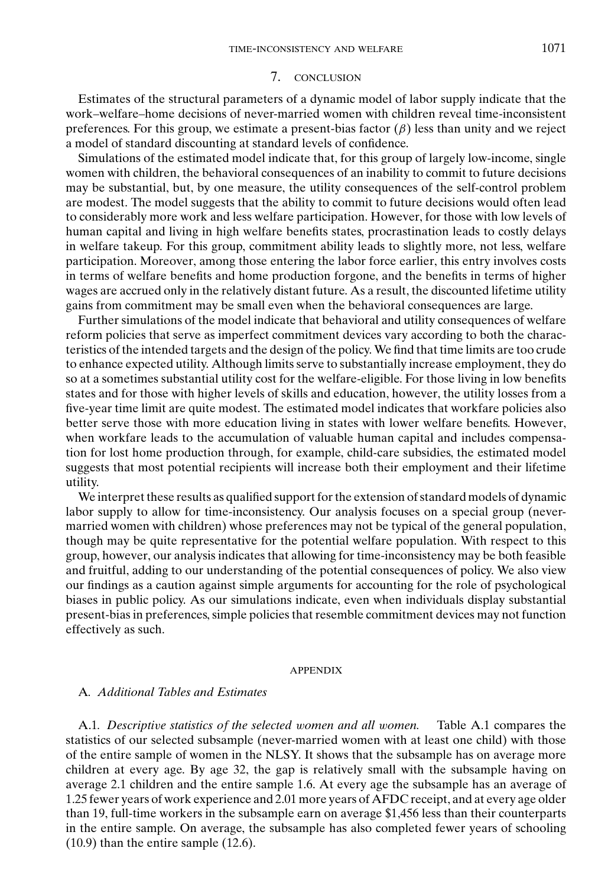## 7. CONCLUSION

Estimates of the structural parameters of a dynamic model of labor supply indicate that the work–welfare–home decisions of never-married women with children reveal time-inconsistent preferences. For this group, we estimate a present-bias factor  $(\beta)$  less than unity and we reject a model of standard discounting at standard levels of confidence.

Simulations of the estimated model indicate that, for this group of largely low-income, single women with children, the behavioral consequences of an inability to commit to future decisions may be substantial, but, by one measure, the utility consequences of the self-control problem are modest. The model suggests that the ability to commit to future decisions would often lead to considerably more work and less welfare participation. However, for those with low levels of human capital and living in high welfare benefits states, procrastination leads to costly delays in welfare takeup. For this group, commitment ability leads to slightly more, not less, welfare participation. Moreover, among those entering the labor force earlier, this entry involves costs in terms of welfare benefits and home production forgone, and the benefits in terms of higher wages are accrued only in the relatively distant future. As a result, the discounted lifetime utility gains from commitment may be small even when the behavioral consequences are large.

Further simulations of the model indicate that behavioral and utility consequences of welfare reform policies that serve as imperfect commitment devices vary according to both the characteristics of the intended targets and the design of the policy. We find that time limits are too crude to enhance expected utility. Although limits serve to substantially increase employment, they do so at a sometimes substantial utility cost for the welfare-eligible. For those living in low benefits states and for those with higher levels of skills and education, however, the utility losses from a five-year time limit are quite modest. The estimated model indicates that workfare policies also better serve those with more education living in states with lower welfare benefits. However, when workfare leads to the accumulation of valuable human capital and includes compensation for lost home production through, for example, child-care subsidies, the estimated model suggests that most potential recipients will increase both their employment and their lifetime utility.

We interpret these results as qualified support for the extension of standard models of dynamic labor supply to allow for time-inconsistency. Our analysis focuses on a special group (nevermarried women with children) whose preferences may not be typical of the general population, though may be quite representative for the potential welfare population. With respect to this group, however, our analysis indicates that allowing for time-inconsistency may be both feasible and fruitful, adding to our understanding of the potential consequences of policy. We also view our findings as a caution against simple arguments for accounting for the role of psychological biases in public policy. As our simulations indicate, even when individuals display substantial present-bias in preferences, simple policies that resemble commitment devices may not function effectively as such.

## APPENDIX

## A*. Additional Tables and Estimates*

A.1*. Descripti*v*e statistics of the selected* w*omen and all* w*omen.* Table A.1 compares the statistics of our selected subsample (never-married women with at least one child) with those of the entire sample of women in the NLSY. It shows that the subsample has on average more children at every age. By age 32, the gap is relatively small with the subsample having on average 2.1 children and the entire sample 1.6. At every age the subsample has an average of 1.25 fewer years of work experience and 2.01 more years of AFDC receipt, and at every age older than 19, full-time workers in the subsample earn on average \$1,456 less than their counterparts in the entire sample. On average, the subsample has also completed fewer years of schooling (10.9) than the entire sample (12.6).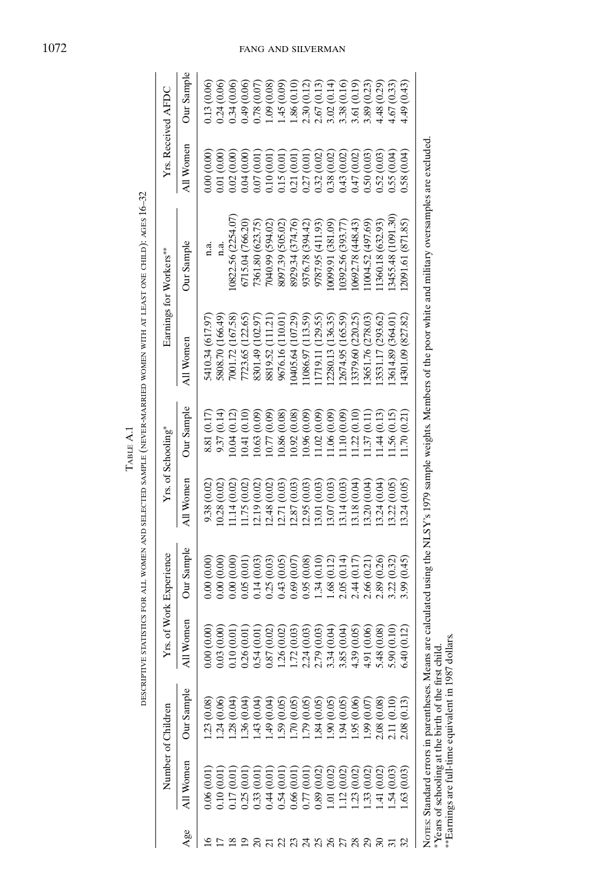|                       |            | Number of Children                                                                                                                                                 |             | Yrs. of Work Experience |              | Yrs. of Schooling* |                   | Earnings for Workers**                                                                                        |             | Yrs. Received AFDC |
|-----------------------|------------|--------------------------------------------------------------------------------------------------------------------------------------------------------------------|-------------|-------------------------|--------------|--------------------|-------------------|---------------------------------------------------------------------------------------------------------------|-------------|--------------------|
| Age                   | All Women  | Our Sample                                                                                                                                                         | All Womer   | Our Sample              | All Women    | Our Sample         | All Women         | Our Sample                                                                                                    | All Women   | Our Sample         |
| $\overline{16}$       | 0.06 (0.01 | .23(0.08)                                                                                                                                                          | 0.00(0.00)  | 0.00(0.00)              | 9.38 (0.02   | 8.81 (0.17)        | 5410.34 (617.97)  | n.a.                                                                                                          | 0.00(0.00)  | 0.13 (0.06)        |
| $\overline{17}$       | 0.010(0.01 | .24(0.06)                                                                                                                                                          | 0.03(0.00)  | 0.00(0.00)              | 10.28 (0.02  | 9.37(0.14)         | 5808.70 (166.49)  | n.a.                                                                                                          | 0.01(0.00)  | 0.06               |
| $\frac{8}{2}$         | 117 (0.01  | .28(0.04                                                                                                                                                           | 0.10(0.01)  | 0.00(0.00)              | 1.14 (0.02)  | 0.04(0.12)         | 7001.72 (167.58)  | (0822.56 (2254.07)                                                                                            | 0.02(0.00)  | 0.06               |
| $\mathfrak{D}$        | 0.25(0.01) | .36(0.04                                                                                                                                                           | 1.26 (0.01  | 0.05(0.01)              | 1.75 (0.02)  | 0.41 (0.10)        | 7723.65 (122.65)  | 6715.04 (766.20)                                                                                              | 0.04(0.00)  | 0.06 64:           |
| $\mathcal{S}$         | 0.33(0.01  | .43(0.04)                                                                                                                                                          | 154 (0.01   | 0.14(0.03)              | 12.19 (0.02) | 0.63(0.09)         | 8301.49 (102.97)  | 7361.80 (623.75)                                                                                              | 0.07 (0.01  | 1.00 87.0          |
|                       | 0.44 (0.01 | $-49(0.04$                                                                                                                                                         | .87(0.02)   | 0.25(0.03)              | 12.48 (0.02) | 0.77 (0.09)        | 8819.52 (111.21   | 7040.99 (594.02)                                                                                              | 0.000.01    | 1.09 (0.08)        |
|                       | 0.54 (0.01 | .59 (0.05)                                                                                                                                                         | .26(0.02)   | 0.43(0.05)              | 12.71(0.03)  | 10.86 (0.08)       | 9676.16 (110.01   | 8097.39 (505.02)                                                                                              | 0.15(0.01)  | 1.45 (0.09)        |
|                       | 0.66 (0.01 | 1.70(0.05)                                                                                                                                                         | .72(0.03)   | 0.69(0.07)              | 12.87(0.03)  | (0.02)(0.08)       | L0405.64 (107.29) | 8929.34 (374.76)                                                                                              | 0.21(0.01)  | 1.86 (0.10)        |
|                       | 0.77 (0.01 | 1.79(0.05)                                                                                                                                                         | 2.24(0.03)  | 0.05(0.08)              | 12.95(0.03)  | (0.056)(0.09)      | 1086.97 (113.59)  | 9376.78 (394.42)                                                                                              | 0.27 (0.01) | 2.30 (0.12)        |
| <b>ភ</b> ្ជន្មនុងសន្ន | 0.89 (0.02 | 1.84(0.05                                                                                                                                                          | 2.79 (0.03) | 1.34(0.10)              | 13.01 (0.03) | 11.02(0.09)        | 1719.11 (129.55)  | 9787.95 (411.93)                                                                                              | 0.32(0.02)  | 2.67 (0.13)        |
|                       | 1.01(0.02) | 0.05                                                                                                                                                               | 3.34(0.04)  | 1.68(0.12)              | 13.07(0.03)  | 11.06(0.09)        | 2280.13 (136.35)  | (0099.91 (381.09)                                                                                             | 0.38(0.02)  | 3.02 (0.14         |
|                       | 1.12(0.02) | 1.94(0.05                                                                                                                                                          | 3.85 (0.04) | 2.05(0.14)              | 13.14(0.03)  | [1.10 (0.09)       | 2674.95 (165.59)  | 10392.56 (393.77)                                                                                             | 0.43 (0.02  | 3.38 (0.16)        |
|                       | 1.23(0.02) | 0.06                                                                                                                                                               | 4.39 (0.05) | 2.44(0.17)              | 13.18(0.04)  | 1.22(0.10)         | 3379.60 (220.25)  | 0692.78 (448.43)                                                                                              | 0.47 (0.02) | 3.61 (0.19)        |
| $\mathcal{S}$         | 1.33 (0.02 | 1.99(0.07                                                                                                                                                          | 4.91 (0.06) | 2.66 (0.21)             | 13.20(0.04)  | 1.37 (0.11         | 3651.76 (278.03)  | (1004.52(497.69))                                                                                             | 0.50 (0.03  | 3.89 (0.23         |
| ≌                     | 1.41(0.02) | 2.08 (0.08)                                                                                                                                                        | 5.48 (0.08) | 2.89 (0.26)             | 13.24(0.04)  | 1.44(0.13)         | 3531.17 (293.62)  | 1360.18 (632.93)                                                                                              | 0.52(0.03)  | 4.48 (0.29)        |
|                       | .54(0.03)  | 2.11 (0.10                                                                                                                                                         | 5.90(0.10)  | 3.22 (0.32)             | 13.22(0.05)  | 1.56(0.15)         | 3614.89 (364.01   | 13455.48 (1091.30)                                                                                            | 0.55(0.04)  | 4.67 (0.33)        |
| 32                    | 1.63(0.03) | 2.08(0.13)                                                                                                                                                         | 6.40(0.12)  | 3.99 (0.45)             | 13.24(0.05)  | 1.70(0.21)         | (4301.09 (827.82) | (2091.61 (871.85                                                                                              | 0.58(0.04)  | 4.49 (0.43)        |
|                       |            | Nores: Standard errors in parentheses. Means are cal<br>**Earnings are full-time equivalent in 1987 dollars<br>*Years of schooling at the birth of the first child |             |                         |              |                    |                   | culated using the NLSY's 1979 sample weights. Members of the poor white and military oversamples are excluded |             |                    |

DESCRIPTIVE STATISTICS FOR ALL WOMEN AND SELECTED SAMPLE (NEVER-MARRIED WOMEN WITH AT LEAST ONE CHILD): AGES 16-32 DESCRIPTIVE STATISTICS FOR ALL WOMEN AND SELECTED SAMPLE (NEVER-MARRIED WOMEN WITH AT LEAST ONE CHILD): AGES 16–32  $\mathrm{TABLE}\: \mathbf{A}.\mathbf{1}$ TABLE A.1

1072 FANG AND SILVERMAN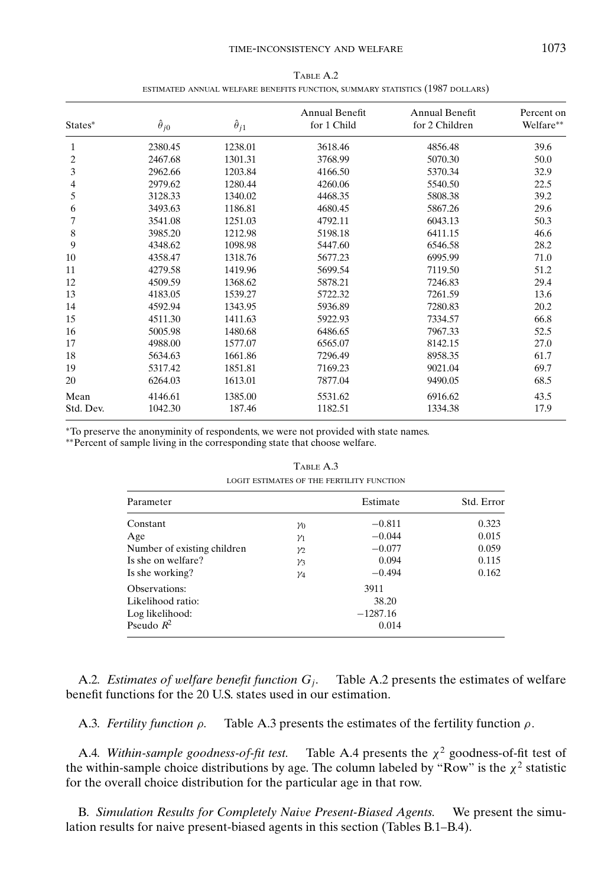| States*   | $\hat{\theta}_{j0}$ | $\hat{\theta}_{j1}$ | <b>Annual Benefit</b><br>for 1 Child | Annual Benefit<br>for 2 Children | Percent on<br>Welfare** |
|-----------|---------------------|---------------------|--------------------------------------|----------------------------------|-------------------------|
| 1         | 2380.45             | 1238.01             | 3618.46                              | 4856.48                          | 39.6                    |
| 2         | 2467.68             | 1301.31             | 3768.99                              | 5070.30                          | 50.0                    |
| 3         | 2962.66             | 1203.84             | 4166.50                              | 5370.34                          | 32.9                    |
| 4         | 2979.62             | 1280.44             | 4260.06                              | 5540.50                          | 22.5                    |
| 5         | 3128.33             | 1340.02             | 4468.35                              | 5808.38                          | 39.2                    |
| 6         | 3493.63             | 1186.81             | 4680.45                              | 5867.26                          | 29.6                    |
| 7         | 3541.08             | 1251.03             | 4792.11                              | 6043.13                          | 50.3                    |
| 8         | 3985.20             | 1212.98             | 5198.18                              | 6411.15                          | 46.6                    |
| 9         | 4348.62             | 1098.98             | 5447.60                              | 6546.58                          | 28.2                    |
| 10        | 4358.47             | 1318.76             | 5677.23                              | 6995.99                          | 71.0                    |
| 11        | 4279.58             | 1419.96             | 5699.54                              | 7119.50                          | 51.2                    |
| 12        | 4509.59             | 1368.62             | 5878.21                              | 7246.83                          | 29.4                    |
| 13        | 4183.05             | 1539.27             | 5722.32                              | 7261.59                          | 13.6                    |
| 14        | 4592.94             | 1343.95             | 5936.89                              | 7280.83                          | 20.2                    |
| 15        | 4511.30             | 1411.63             | 5922.93                              | 7334.57                          | 66.8                    |
| 16        | 5005.98             | 1480.68             | 6486.65                              | 7967.33                          | 52.5                    |
| 17        | 4988.00             | 1577.07             | 6565.07                              | 8142.15                          | 27.0                    |
| 18        | 5634.63             | 1661.86             | 7296.49                              | 8958.35                          | 61.7                    |
| 19        | 5317.42             | 1851.81             | 7169.23                              | 9021.04                          | 69.7                    |
| 20        | 6264.03             | 1613.01             | 7877.04                              | 9490.05                          | 68.5                    |
| Mean      | 4146.61             | 1385.00             | 5531.62                              | 6916.62                          | 43.5                    |
| Std. Dev. | 1042.30             | 187.46              | 1182.51                              | 1334.38                          | 17.9                    |

∗To preserve the anonyminity of respondents, we were not provided with state names.

∗∗Percent of sample living in the corresponding state that choose welfare.

| Parameter                   |            | Estimate   | Std. Error |
|-----------------------------|------------|------------|------------|
| Constant                    | $\gamma_0$ | $-0.811$   | 0.323      |
| Age                         | $\gamma_1$ | $-0.044$   | 0.015      |
| Number of existing children | $\gamma_2$ | $-0.077$   | 0.059      |
| Is she on welfare?          | $\gamma_3$ | 0.094      | 0.115      |
| Is she working?             | $\gamma_4$ | $-0.494$   | 0.162      |
| Observations:               |            | 3911       |            |
| Likelihood ratio:           |            | 38.20      |            |
| Log likelihood:             |            | $-1287.16$ |            |
| Pseudo $R^2$                |            | 0.014      |            |

### TABLE A.3 LOGIT ESTIMATES OF THE FERTILITY FUNCTION

A.2. *Estimates of welfare benefit function*  $G_i$ . Table A.2 presents the estimates of welfare benefit functions for the 20 U.S. states used in our estimation.

A.3*. Fertility function* ρ*.* Table A.3 presents the estimates of the fertility function ρ.

A.4. Within-sample goodness-of-fit test. Table A.4 presents the  $\chi^2$  goodness-of-fit test of the within-sample choice distributions by age. The column labeled by "Row" is the  $\chi^2$  statistic for the overall choice distribution for the particular age in that row.

B*. Simulation Results for Completely Nai*v*e Present-Biased Agents.* We present the simulation results for naive present-biased agents in this section (Tables B.1–B.4).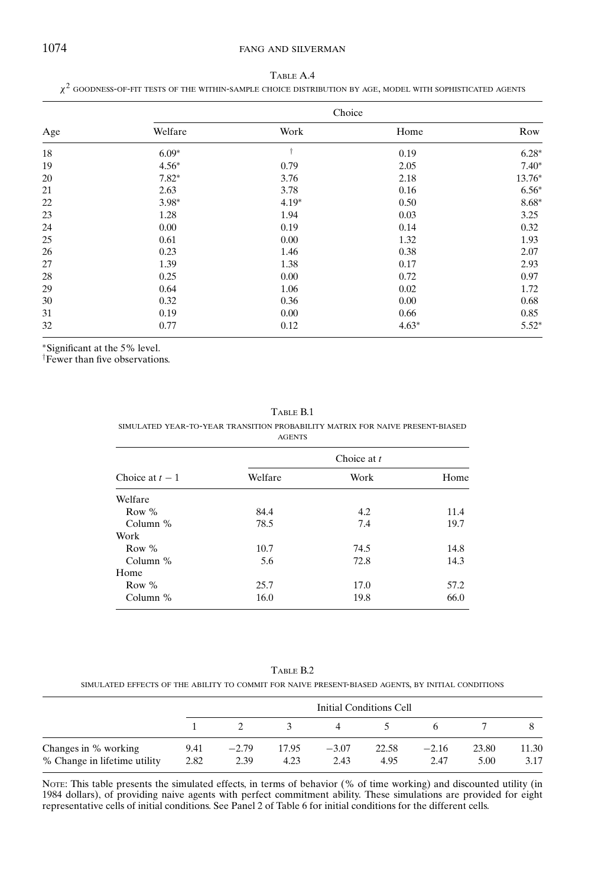#### TABLE A.4

 $\chi^2$  GOODNESS-OF-FIT TESTS OF THE WITHIN-SAMPLE CHOICE DISTRIBUTION BY AGE, MODEL WITH SOPHISTICATED AGENTS

|     | Choice  |         |         |         |  |  |  |
|-----|---------|---------|---------|---------|--|--|--|
| Age | Welfare | Work    | Home    | Row     |  |  |  |
| 18  | $6.09*$ |         | 0.19    | $6.28*$ |  |  |  |
| 19  | $4.56*$ | 0.79    | 2.05    | $7.40*$ |  |  |  |
| 20  | $7.82*$ | 3.76    | 2.18    | 13.76*  |  |  |  |
| 21  | 2.63    | 3.78    | 0.16    | $6.56*$ |  |  |  |
| 22  | 3.98*   | $4.19*$ | 0.50    | $8.68*$ |  |  |  |
| 23  | 1.28    | 1.94    | 0.03    | 3.25    |  |  |  |
| 24  | 0.00    | 0.19    | 0.14    | 0.32    |  |  |  |
| 25  | 0.61    | 0.00    | 1.32    | 1.93    |  |  |  |
| 26  | 0.23    | 1.46    | 0.38    | 2.07    |  |  |  |
| 27  | 1.39    | 1.38    | 0.17    | 2.93    |  |  |  |
| 28  | 0.25    | 0.00    | 0.72    | 0.97    |  |  |  |
| 29  | 0.64    | 1.06    | 0.02    | 1.72    |  |  |  |
| 30  | 0.32    | 0.36    | 0.00    | 0.68    |  |  |  |
| 31  | 0.19    | 0.00    | 0.66    | 0.85    |  |  |  |
| 32  | 0.77    | 0.12    | $4.63*$ | $5.52*$ |  |  |  |

∗Significant at the 5% level.

†Fewer than five observations.

| TARLE <b>B</b> .1                                                             |
|-------------------------------------------------------------------------------|
| SIMULATED YEAR-TO-YEAR TRANSITION PROBABILITY MATRIX FOR NAIVE PRESENT-BIASED |
| <b>AGENTS</b>                                                                 |

|                 | Choice at $t$ |      |      |  |  |  |  |
|-----------------|---------------|------|------|--|--|--|--|
| Choice at $t-1$ | Welfare       | Work | Home |  |  |  |  |
| Welfare         |               |      |      |  |  |  |  |
| Row $%$         | 84.4          | 4.2  | 11.4 |  |  |  |  |
| Column %        | 78.5          | 7.4  | 19.7 |  |  |  |  |
| Work            |               |      |      |  |  |  |  |
| Row $%$         | 10.7          | 74.5 | 14.8 |  |  |  |  |
| Column %        | 5.6           | 72.8 | 14.3 |  |  |  |  |
| Home            |               |      |      |  |  |  |  |
| Row $%$         | 25.7          | 17.0 | 57.2 |  |  |  |  |
| Column %        | 16.0          | 19.8 | 66.0 |  |  |  |  |

TABLE B.2

SIMULATED EFFECTS OF THE ABILITY TO COMMIT FOR NAIVE PRESENT-BIASED AGENTS, BY INITIAL CONDITIONS

|                                                      |              | Initial Conditions Cell |               |                 |               |                 |               |               |  |  |
|------------------------------------------------------|--------------|-------------------------|---------------|-----------------|---------------|-----------------|---------------|---------------|--|--|
|                                                      |              |                         | 3.            | 4               |               | 6.              |               |               |  |  |
| Changes in % working<br>% Change in lifetime utility | 9.41<br>2.82 | $-2.79$<br>2.39         | 17.95<br>4.23 | $-3.07$<br>2.43 | 22.58<br>4.95 | $-2.16$<br>2.47 | 23.80<br>5.00 | 11.30<br>3.17 |  |  |

NOTE: This table presents the simulated effects, in terms of behavior (% of time working) and discounted utility (in 1984 dollars), of providing naive agents with perfect commitment ability. These simulations are provided for eight representative cells of initial conditions. See Panel 2 of Table 6 for initial conditions for the different cells.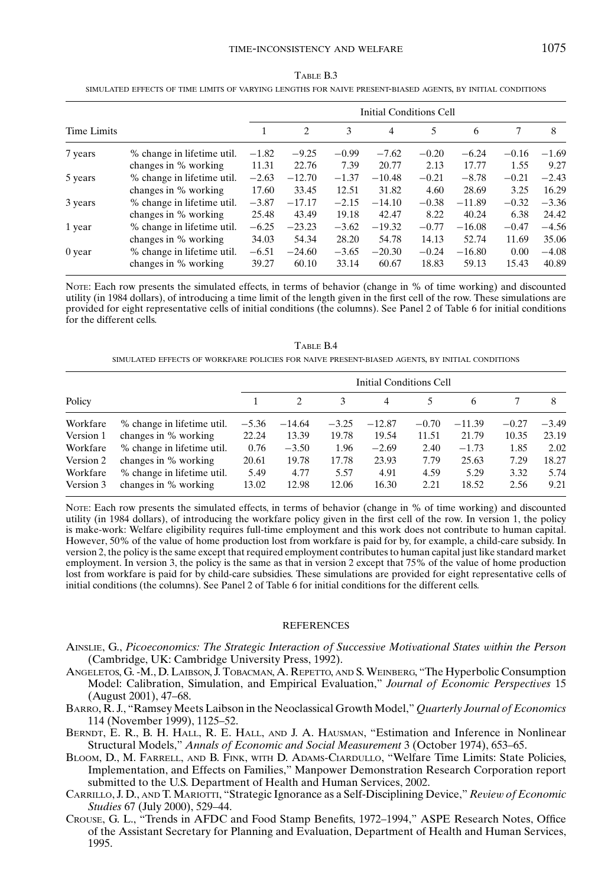#### TIME-INCONSISTENCY AND WELFARE 1075

|             |                            |         |          |         | Initial Conditions Cell |         |          |         |         |
|-------------|----------------------------|---------|----------|---------|-------------------------|---------|----------|---------|---------|
| Time Limits |                            |         | 2        | 3       | 4                       | 5       | 6        | 7       | 8       |
| 7 years     | % change in lifetime util. | $-1.82$ | $-9.25$  | $-0.99$ | $-7.62$                 | $-0.20$ | $-6.24$  | $-0.16$ | $-1.69$ |
|             | changes in % working       | 11.31   | 22.76    | 7.39    | 20.77                   | 2.13    | 17.77    | 1.55    | 9.27    |
| 5 years     | % change in lifetime util. | $-2.63$ | $-12.70$ | $-1.37$ | $-10.48$                | $-0.21$ | $-8.78$  | $-0.21$ | $-2.43$ |
|             | changes in % working       | 17.60   | 33.45    | 12.51   | 31.82                   | 4.60    | 28.69    | 3.25    | 16.29   |
| 3 years     | % change in lifetime util. | $-3.87$ | $-17.17$ | $-2.15$ | $-14.10$                | $-0.38$ | $-11.89$ | $-0.32$ | $-3.36$ |
|             | changes in % working       | 25.48   | 43.49    | 19.18   | 42.47                   | 8.22    | 40.24    | 6.38    | 24.42   |
| 1 year      | % change in lifetime util. | $-6.25$ | $-23.23$ | $-3.62$ | $-19.32$                | $-0.77$ | $-16.08$ | $-0.47$ | $-4.56$ |
|             | changes in % working       | 34.03   | 54.34    | 28.20   | 54.78                   | 14.13   | 52.74    | 11.69   | 35.06   |
| $0$ year    | % change in lifetime util. | $-6.51$ | $-24.60$ | $-3.65$ | $-20.30$                | $-0.24$ | $-16.80$ | 0.00    | $-4.08$ |
|             | changes in % working       | 39.27   | 60.10    | 33.14   | 60.67                   | 18.83   | 59.13    | 15.43   | 40.89   |

TABLE B.3 SIMULATED EFFECTS OF TIME LIMITS OF VARYING LENGTHS FOR NAIVE PRESENT-BIASED AGENTS, BY INITIAL CONDITIONS

NOTE: Each row presents the simulated effects, in terms of behavior (change in % of time working) and discounted utility (in 1984 dollars), of introducing a time limit of the length given in the first cell of the row. These simulations are provided for eight representative cells of initial conditions (the columns). See Panel 2 of Table 6 for initial conditions for the different cells.

| TABLE B.4                                                                                     |
|-----------------------------------------------------------------------------------------------|
| SIMULATED EFFECTS OF WORKFARE POLICIES FOR NAIVE PRESENT-BIASED AGENTS, BY INITIAL CONDITIONS |

|           |                            | Initial Conditions Cell |                |         |                |         |          |         |         |  |
|-----------|----------------------------|-------------------------|----------------|---------|----------------|---------|----------|---------|---------|--|
| Policy    |                            |                         | $\mathfrak{D}$ | 3       | $\overline{4}$ |         | 6        |         | 8       |  |
| Workfare  | % change in lifetime util. | $-5.36$                 | $-14.64$       | $-3.25$ | $-12.87$       | $-0.70$ | $-11.39$ | $-0.27$ | $-3.49$ |  |
| Version 1 | changes in % working       | 22.24                   | 13.39          | 19.78   | 19.54          | 11.51   | 21.79    | 10.35   | 23.19   |  |
| Workfare  | % change in lifetime util. | 0.76                    | $-3.50$        | 1.96    | $-2.69$        | 2.40    | $-1.73$  | 1.85    | 2.02    |  |
| Version 2 | changes in % working       | 20.61                   | 19.78          | 17.78   | 23.93          | 7.79    | 25.63    | 7.29    | 18.27   |  |
| Workfare  | % change in lifetime util. | 5.49                    | 4.77           | 5.57    | 4.91           | 4.59    | 5.29     | 3.32    | 5.74    |  |
| Version 3 | changes in % working       | 13.02                   | 12.98          | 12.06   | 16.30          | 2.21    | 18.52    | 2.56    | 9.21    |  |

NOTE: Each row presents the simulated effects, in terms of behavior (change in % of time working) and discounted utility (in 1984 dollars), of introducing the workfare policy given in the first cell of the row. In version 1, the policy is make-work: Welfare eligibility requires full-time employment and this work does not contribute to human capital. However, 50% of the value of home production lost from workfare is paid for by, for example, a child-care subsidy. In version 2, the policy is the same except that required employment contributes to human capital just like standard market employment. In version 3, the policy is the same as that in version 2 except that 75% of the value of home production lost from workfare is paid for by child-care subsidies. These simulations are provided for eight representative cells of initial conditions (the columns). See Panel 2 of Table 6 for initial conditions for the different cells.

#### REFERENCES

- AINSLIE, G., *Picoeconomics: The Strategic Interaction of Successi*v*e Moti*v*ational States* w*ithin the Person* (Cambridge, UK: Cambridge University Press, 1992).
- ANGELETOS, G. -M., D. LAIBSON, J. TOBACMAN, A. REPETTO, AND S. WEINBERG, "The Hyperbolic Consumption Model: Calibration, Simulation, and Empirical Evaluation," *Journal of Economic Perspecti*v*es* 15 (August 2001), 47–68.
- BARRO, R. J., "Ramsey Meets Laibson in the Neoclassical Growth Model," *Quarterly Journal of Economics* 114 (November 1999), 1125–52.
- BERNDT, E. R., B. H. HALL, R. E. HALL, AND J. A. HAUSMAN, "Estimation and Inference in Nonlinear Structural Models," *Annals of Economic and Social Measurement* 3 (October 1974), 653–65.
- BLOOM, D., M. FARRELL, AND B. FINK, WITH D. ADAMS-CIARDULLO, "Welfare Time Limits: State Policies, Implementation, and Effects on Families," Manpower Demonstration Research Corporation report submitted to the U.S. Department of Health and Human Services, 2002.
- CARRILLO, J. D., AND T. MARIOTTI, "Strategic Ignorance as a Self-Disciplining Device," *Re*v*ie*w *of Economic Studies* 67 (July 2000), 529–44.
- CROUSE, G. L., "Trends in AFDC and Food Stamp Benefits, 1972–1994," ASPE Research Notes, Office of the Assistant Secretary for Planning and Evaluation, Department of Health and Human Services, 1995.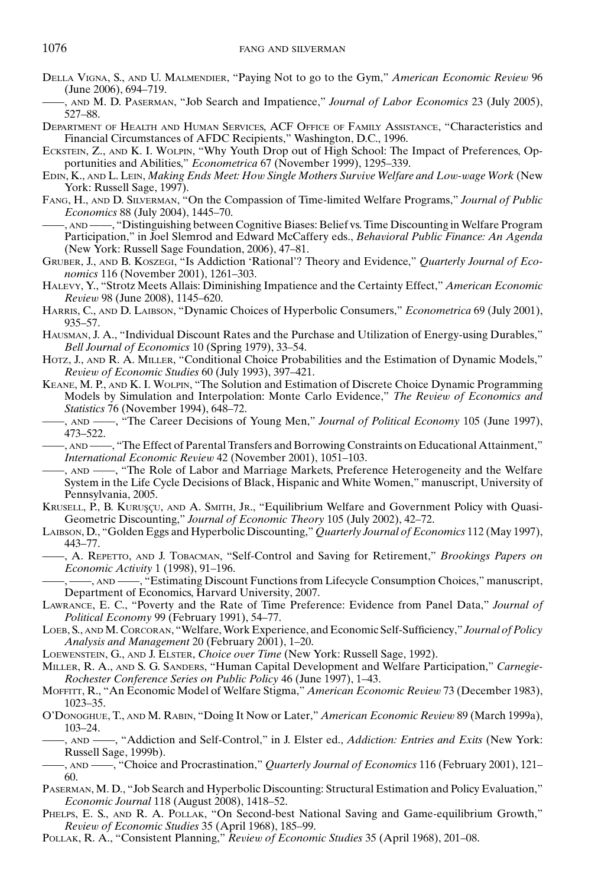DELLA VIGNA, S., AND U. MALMENDIER, "Paying Not to go to the Gym," *American Economic Re*v*ie*w 96 (June 2006), 694–719.

- DEPARTMENT OF HEALTH AND HUMAN SERVICES, ACF OFFICE OF FAMILY ASSISTANCE, "Characteristics and Financial Circumstances of AFDC Recipients," Washington, D.C., 1996.
- ECKSTEIN, Z., AND K. I. WOLPIN, "Why Youth Drop out of High School: The Impact of Preferences, Opportunities and Abilities," *Econometrica* 67 (November 1999), 1295–339.
- EDIN, K., AND L. LEIN, *Making Ends Meet: Ho*w *Single Mothers Sur*v*i*v*e Welfare and Lo*w*-*w*age Work* (New York: Russell Sage, 1997).
- FANG, H., AND D. SILVERMAN, "On the Compassion of Time-limited Welfare Programs," *Journal of Public Economics* 88 (July 2004), 1445–70.
- ——, AND ——, "Distinguishing between Cognitive Biases: Belief vs. Time Discounting in Welfare Program Participation," in Joel Slemrod and Edward McCaffery eds., *Beha*v*ioral Public Finance: An Agenda* (New York: Russell Sage Foundation, 2006), 47–81.
- GRUBER, J., AND B. KOSZEGI, "Is Addiction 'Rational'? Theory and Evidence," *Quarterly Journal of Economics* 116 (November 2001), 1261–303.
- HALEVY, Y., "Strotz Meets Allais: Diminishing Impatience and the Certainty Effect," *American Economic Re*v*ie*w 98 (June 2008), 1145–620.
- HARRIS, C., AND D. LAIBSON, "Dynamic Choices of Hyperbolic Consumers," *Econometrica* 69 (July 2001), 935–57.
- HAUSMAN, J. A., "Individual Discount Rates and the Purchase and Utilization of Energy-using Durables," *Bell Journal of Economics* 10 (Spring 1979), 33–54.
- HOTZ, J., AND R. A. MILLER, "Conditional Choice Probabilities and the Estimation of Dynamic Models," *Re*v*ie*w *of Economic Studies* 60 (July 1993), 397–421.
- KEANE, M. P., AND K. I. WOLPIN, "The Solution and Estimation of Discrete Choice Dynamic Programming Models by Simulation and Interpolation: Monte Carlo Evidence," *The Re*v*ie*w *of Economics and Statistics* 76 (November 1994), 648–72.
- ——, AND ——, "The Career Decisions of Young Men," *Journal of Political Economy* 105 (June 1997), 473–522.
- ——, AND ——, "The Effect of Parental Transfers and Borrowing Constraints on Educational Attainment," *International Economic Re*v*ie*w 42 (November 2001), 1051–103.
- ——, AND ——, "The Role of Labor and Marriage Markets, Preference Heterogeneity and the Welfare System in the Life Cycle Decisions of Black, Hispanic and White Women," manuscript, University of Pennsylvania, 2005.
- KRUSELL, P., B. KURUŞÇU, AND A. SMITH, JR., "Equilibrium Welfare and Government Policy with Quasi-Geometric Discounting," *Journal of Economic Theory* 105 (July 2002), 42–72.
- LAIBSON, D., "Golden Eggs and Hyperbolic Discounting," *Quarterly Journal of Economics* 112 (May 1997), 443–77.
- ——, A. REPETTO, AND J. TOBACMAN, "Self-Control and Saving for Retirement," *Brookings Papers on Economic Acti*v*ity* 1 (1998), 91–196.
- ——, ——, AND ——, "Estimating Discount Functions from Lifecycle Consumption Choices," manuscript, Department of Economics, Harvard University, 2007.
- LAWRANCE, E. C., "Poverty and the Rate of Time Preference: Evidence from Panel Data," *Journal of Political Economy* 99 (February 1991), 54–77.
- LOEB, S., AND M. CORCORAN, "Welfare,Work Experience, and Economic Self-Sufficiency," *Journal of Policy Analysis and Management* 20 (February 2001), 1–20.
- LOEWENSTEIN, G., AND J. ELSTER, *Choice o*v*er Time* (New York: Russell Sage, 1992).
- MILLER, R. A., AND S. G. SANDERS, "Human Capital Development and Welfare Participation," *Carnegie-Rochester Conference Series on Public Policy* 46 (June 1997), 1–43.
- MOFFITT, R., "An Economic Model of Welfare Stigma," *American Economic Re*v*ie*w 73 (December 1983), 1023–35.
- O'DONOGHUE, T., AND M. RABIN, "Doing It Now or Later," *American Economic Re*v*ie*w 89 (March 1999a), 103–24.
- ——, AND ——, "Addiction and Self-Control," in J. Elster ed., *Addiction: Entries and Exits* (New York: Russell Sage, 1999b).
- ——, AND ——, "Choice and Procrastination," *Quarterly Journal of Economics* 116 (February 2001), 121– 60.
- PASERMAN, M. D., "Job Search and Hyperbolic Discounting: Structural Estimation and Policy Evaluation," *Economic Journal* 118 (August 2008), 1418–52.
- PHELPS, E. S., AND R. A. POLLAK, "On Second-best National Saving and Game-equilibrium Growth," *Re*v*ie*w *of Economic Studies* 35 (April 1968), 185–99.
- POLLAK, R. A., "Consistent Planning," *Re*v*ie*w *of Economic Studies* 35 (April 1968), 201–08.

<sup>——,</sup> AND M. D. PASERMAN, "Job Search and Impatience," *Journal of Labor Economics* 23 (July 2005), 527–88.